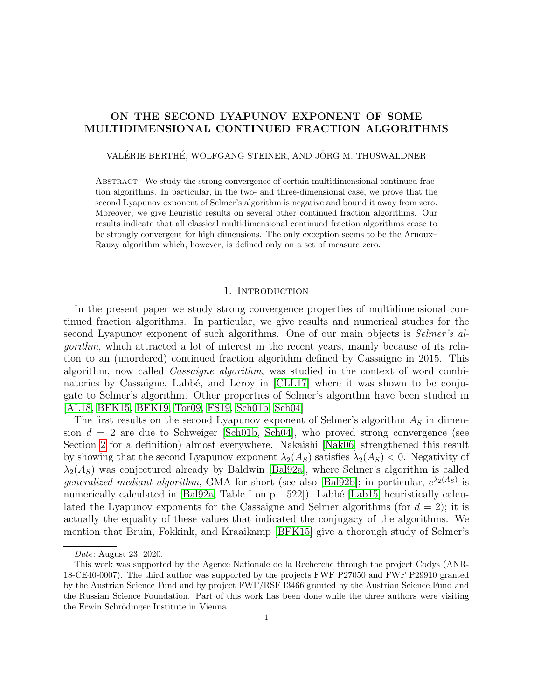# ON THE SECOND LYAPUNOV EXPONENT OF SOME MULTIDIMENSIONAL CONTINUED FRACTION ALGORITHMS

### VALÉRIE BERTHÉ, WOLFGANG STEINER, AND JÖRG M. THUSWALDNER

Abstract. We study the strong convergence of certain multidimensional continued fraction algorithms. In particular, in the two- and three-dimensional case, we prove that the second Lyapunov exponent of Selmer's algorithm is negative and bound it away from zero. Moreover, we give heuristic results on several other continued fraction algorithms. Our results indicate that all classical multidimensional continued fraction algorithms cease to be strongly convergent for high dimensions. The only exception seems to be the Arnoux– Rauzy algorithm which, however, is defined only on a set of measure zero.

#### 1. INTRODUCTION

In the present paper we study strong convergence properties of multidimensional continued fraction algorithms. In particular, we give results and numerical studies for the second Lyapunov exponent of such algorithms. One of our main objects is *Selmer's al*gorithm, which attracted a lot of interest in the recent years, mainly because of its relation to an (unordered) continued fraction algorithm defined by Cassaigne in 2015. This algorithm, now called Cassaigne algorithm, was studied in the context of word combi-natorics by Cassaigne, Labbé, and Leroy in [\[CLL17\]](#page-22-0) where it was shown to be conjugate to Selmer's algorithm. Other properties of Selmer's algorithm have been studied in [\[AL18,](#page-21-0) [BFK15,](#page-22-1) [BFK19,](#page-22-2) [Tor09,](#page-23-0) [FS19,](#page-22-3) [Sch01b,](#page-23-1) [Sch04\]](#page-23-2).

The first results on the second Lyapunov exponent of Selmer's algorithm  $A<sub>S</sub>$  in dimension  $d = 2$  are due to Schweiger [\[Sch01b,](#page-23-1) [Sch04\]](#page-23-2), who proved strong convergence (see Section [2](#page-2-0) for a definition) almost everywhere. Nakaishi [\[Nak06\]](#page-23-3) strengthened this result by showing that the second Lyapunov exponent  $\lambda_2(A_S)$  satisfies  $\lambda_2(A_S)$  < 0. Negativity of  $\lambda_2(A_S)$  was conjectured already by Baldwin [\[Bal92a\]](#page-22-4), where Selmer's algorithm is called *generalized mediant algorithm*, GMA for short (see also [\[Bal92b\]](#page-22-5); in particular,  $e^{\lambda_2(A_S)}$  is numerically calculated in  $[Bal92a, Table I on p. 1522]$  $[Bal92a, Table I on p. 1522]$ . Labbé  $[Lab15]$  heuristically calculated the Lyapunov exponents for the Cassaigne and Selmer algorithms (for  $d = 2$ ); it is actually the equality of these values that indicated the conjugacy of the algorithms. We mention that Bruin, Fokkink, and Kraaikamp [\[BFK15\]](#page-22-1) give a thorough study of Selmer's

Date: August 23, 2020.

This work was supported by the Agence Nationale de la Recherche through the project Codys (ANR-18-CE40-0007). The third author was supported by the projects FWF P27050 and FWF P29910 granted by the Austrian Science Fund and by project FWF/RSF I3466 granted by the Austrian Science Fund and the Russian Science Foundation. Part of this work has been done while the three authors were visiting the Erwin Schrödinger Institute in Vienna.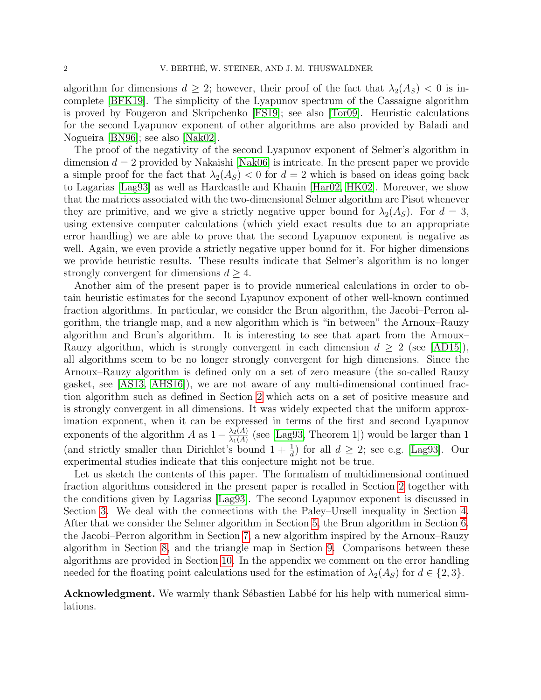algorithm for dimensions  $d \geq 2$ ; however, their proof of the fact that  $\lambda_2(A_S) < 0$  is incomplete [\[BFK19\]](#page-22-2). The simplicity of the Lyapunov spectrum of the Cassaigne algorithm is proved by Fougeron and Skripchenko [\[FS19\]](#page-22-3); see also [\[Tor09\]](#page-23-0). Heuristic calculations for the second Lyapunov exponent of other algorithms are also provided by Baladi and Nogueira [\[BN96\]](#page-22-7); see also [\[Nak02\]](#page-23-4).

The proof of the negativity of the second Lyapunov exponent of Selmer's algorithm in dimension  $d = 2$  provided by Nakaishi [\[Nak06\]](#page-23-3) is intricate. In the present paper we provide a simple proof for the fact that  $\lambda_2(A_S) < 0$  for  $d = 2$  which is based on ideas going back to Lagarias [\[Lag93\]](#page-23-5) as well as Hardcastle and Khanin [\[Har02,](#page-22-8) [HK02\]](#page-22-9). Moreover, we show that the matrices associated with the two-dimensional Selmer algorithm are Pisot whenever they are primitive, and we give a strictly negative upper bound for  $\lambda_2(A_S)$ . For  $d=3$ , using extensive computer calculations (which yield exact results due to an appropriate error handling) we are able to prove that the second Lyapunov exponent is negative as well. Again, we even provide a strictly negative upper bound for it. For higher dimensions we provide heuristic results. These results indicate that Selmer's algorithm is no longer strongly convergent for dimensions  $d \geq 4$ .

Another aim of the present paper is to provide numerical calculations in order to obtain heuristic estimates for the second Lyapunov exponent of other well-known continued fraction algorithms. In particular, we consider the Brun algorithm, the Jacobi–Perron algorithm, the triangle map, and a new algorithm which is "in between" the Arnoux–Rauzy algorithm and Brun's algorithm. It is interesting to see that apart from the Arnoux– Rauzy algorithm, which is strongly convergent in each dimension  $d \geq 2$  (see [\[AD15\]](#page-21-1)), all algorithms seem to be no longer strongly convergent for high dimensions. Since the Arnoux–Rauzy algorithm is defined only on a set of zero measure (the so-called Rauzy gasket, see [\[AS13,](#page-21-2) [AHS16\]](#page-21-3)), we are not aware of any multi-dimensional continued fraction algorithm such as defined in Section [2](#page-2-0) which acts on a set of positive measure and is strongly convergent in all dimensions. It was widely expected that the uniform approximation exponent, when it can be expressed in terms of the first and second Lyapunov exponents of the algorithm A as  $1 - \frac{\lambda_2(A)}{\lambda_1(A)}$  $\frac{\lambda_2(A)}{\lambda_1(A)}$  (see [\[Lag93,](#page-23-5) Theorem 1]) would be larger than 1 (and strictly smaller than Dirichlet's bound  $1 + \frac{1}{d}$ ) for all  $d \geq 2$ ; see e.g. [\[Lag93\]](#page-23-5). Our experimental studies indicate that this conjecture might not be true.

Let us sketch the contents of this paper. The formalism of multidimensional continued fraction algorithms considered in the present paper is recalled in Section [2](#page-2-0) together with the conditions given by Lagarias [\[Lag93\]](#page-23-5). The second Lyapunov exponent is discussed in Section [3.](#page-4-0) We deal with the connections with the Paley–Ursell inequality in Section [4.](#page-6-0) After that we consider the Selmer algorithm in Section [5,](#page-8-0) the Brun algorithm in Section [6,](#page-14-0) the Jacobi–Perron algorithm in Section [7,](#page-15-0) a new algorithm inspired by the Arnoux–Rauzy algorithm in Section [8,](#page-16-0) and the triangle map in Section [9.](#page-18-0) Comparisons between these algorithms are provided in Section [10.](#page-19-0) In the appendix we comment on the error handling needed for the floating point calculations used for the estimation of  $\lambda_2(A_S)$  for  $d \in \{2,3\}$ .

Acknowledgment. We warmly thank Sébastien Labbé for his help with numerical simulations.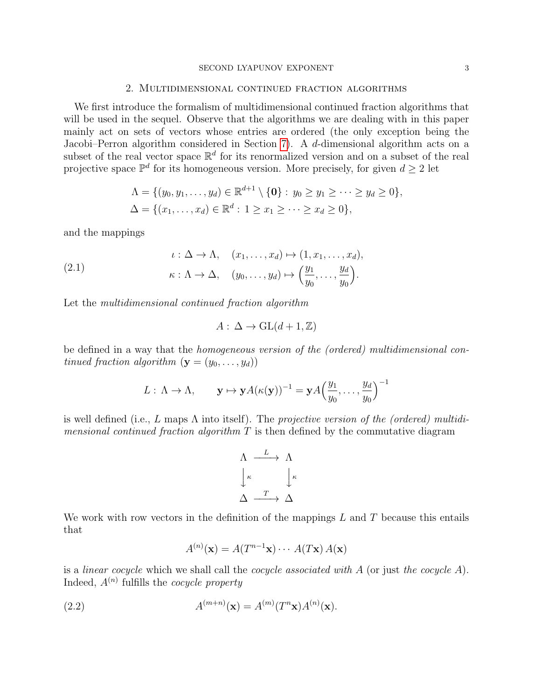#### SECOND LYAPUNOV EXPONENT 3

#### 2. Multidimensional continued fraction algorithms

<span id="page-2-0"></span>We first introduce the formalism of multidimensional continued fraction algorithms that will be used in the sequel. Observe that the algorithms we are dealing with in this paper mainly act on sets of vectors whose entries are ordered (the only exception being the Jacobi–Perron algorithm considered in Section [7\)](#page-15-0). A d-dimensional algorithm acts on a subset of the real vector space  $\mathbb{R}^d$  for its renormalized version and on a subset of the real projective space  $\mathbb{P}^d$  for its homogeneous version. More precisely, for given  $d \geq 2$  let

$$
\Lambda = \{ (y_0, y_1, \dots, y_d) \in \mathbb{R}^{d+1} \setminus \{0\} : y_0 \ge y_1 \ge \dots \ge y_d \ge 0 \},
$$
  

$$
\Delta = \{ (x_1, \dots, x_d) \in \mathbb{R}^d : 1 \ge x_1 \ge \dots \ge x_d \ge 0 \},
$$

and the mappings

<span id="page-2-2"></span>(2.1) 
$$
\iota : \Delta \to \Lambda, \quad (x_1, \ldots, x_d) \mapsto (1, x_1, \ldots, x_d),
$$

$$
\kappa : \Lambda \to \Delta, \quad (y_0, \ldots, y_d) \mapsto \left(\frac{y_1}{y_0}, \ldots, \frac{y_d}{y_0}\right).
$$

Let the multidimensional continued fraction algorithm

$$
A: \Delta \to \mathrm{GL}(d+1,\mathbb{Z})
$$

be defined in a way that the homogeneous version of the (ordered) multidimensional continued fraction algorithm  $(\mathbf{y} = (y_0, \ldots, y_d))$ 

$$
L: \Lambda \to \Lambda, \qquad \mathbf{y} \mapsto \mathbf{y} A(\kappa(\mathbf{y}))^{-1} = \mathbf{y} A\Big(\frac{y_1}{y_0}, \ldots, \frac{y_d}{y_0}\Big)^{-1}
$$

is well defined (i.e., L maps  $\Lambda$  into itself). The projective version of the (ordered) multidi*mensional continued fraction algorithm*  $T$  is then defined by the commutative diagram

$$
\begin{array}{ccc}\n\Lambda & \xrightarrow{L} & \Lambda \\
\downarrow^{\kappa} & & \downarrow^{\kappa} \\
\Delta & \xrightarrow{T} & \Delta\n\end{array}
$$

We work with row vectors in the definition of the mappings  $L$  and  $T$  because this entails that

<span id="page-2-1"></span>
$$
A^{(n)}(\mathbf{x}) = A(T^{n-1}\mathbf{x}) \cdots A(T\mathbf{x}) A(\mathbf{x})
$$

is a *linear cocycle* which we shall call the *cocycle associated with*  $A$  (or just the *cocycle*  $A$ ). Indeed,  $A^{(n)}$  fulfills the *cocycle property* 

(2.2) 
$$
A^{(m+n)}(\mathbf{x}) = A^{(m)}(T^n \mathbf{x}) A^{(n)}(\mathbf{x}).
$$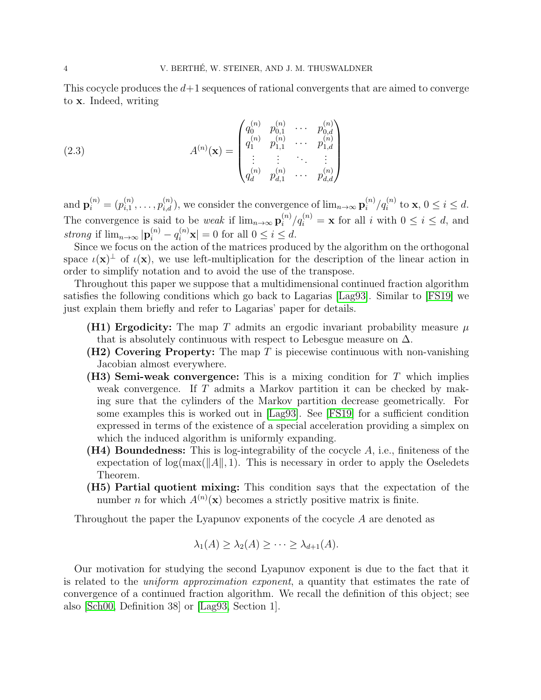This cocycle produces the  $d+1$  sequences of rational convergents that are aimed to converge to x. Indeed, writing

<span id="page-3-0"></span>(2.3) 
$$
A^{(n)}(\mathbf{x}) = \begin{pmatrix} q_0^{(n)} & p_{0,1}^{(n)} & \cdots & p_{0,d}^{(n)} \\ q_1^{(n)} & p_{1,1}^{(n)} & \cdots & p_{1,d}^{(n)} \\ \vdots & \vdots & \ddots & \vdots \\ q_d^{(n)} & p_{d,1}^{(n)} & \cdots & p_{d,d}^{(n)} \end{pmatrix}
$$

and  ${\bf p}_{i}^{(n)}=(p_{i,1}^{(n)}$  $i_{i,1}^{(n)}, \ldots, p_{i,d}^{(n)}$ , we consider the convergence of  $\lim_{n\to\infty} \mathbf{p}_i^{(n)}$  $\binom{n}{i}$  / $q_i^{(n)}$  to **x**,  $0 \le i \le d$ . The convergence is said to be *weak* if  $\lim_{n\to\infty} \mathbf{p}_i^{(n)}$  $i^{(n)}/q_i^{(n)} = \mathbf{x}$  for all i with  $0 \le i \le d$ , and strong if  $\lim_{n\to\infty} |\mathbf{p}_i^{(n)} - q_i^{(n)}\mathbf{x}| = 0$  for all  $0 \le i \le d$ .

Since we focus on the action of the matrices produced by the algorithm on the orthogonal space  $\iota(\mathbf{x})^{\perp}$  of  $\iota(\mathbf{x})$ , we use left-multiplication for the description of the linear action in order to simplify notation and to avoid the use of the transpose.

Throughout this paper we suppose that a multidimensional continued fraction algorithm satisfies the following conditions which go back to Lagarias [\[Lag93\]](#page-23-5). Similar to [\[FS19\]](#page-22-3) we just explain them briefly and refer to Lagarias' paper for details.

- **(H1) Ergodicity:** The map T admits an ergodic invariant probability measure  $\mu$ that is absolutely continuous with respect to Lebesgue measure on  $\Delta$ .
- (H2) Covering Property: The map  $T$  is piecewise continuous with non-vanishing Jacobian almost everywhere.
- (H3) Semi-weak convergence: This is a mixing condition for  $T$  which implies weak convergence. If T admits a Markov partition it can be checked by making sure that the cylinders of the Markov partition decrease geometrically. For some examples this is worked out in [\[Lag93\]](#page-23-5). See [\[FS19\]](#page-22-3) for a sufficient condition expressed in terms of the existence of a special acceleration providing a simplex on which the induced algorithm is uniformly expanding.
- (H4) Boundedness: This is log-integrability of the cocycle A, i.e., finiteness of the expectation of  $\log(\max(\|A\|, 1))$ . This is necessary in order to apply the Oseledets Theorem.
- (H5) Partial quotient mixing: This condition says that the expectation of the number *n* for which  $A^{(n)}(\mathbf{x})$  becomes a strictly positive matrix is finite.

Throughout the paper the Lyapunov exponents of the cocycle A are denoted as

$$
\lambda_1(A) \geq \lambda_2(A) \geq \cdots \geq \lambda_{d+1}(A).
$$

Our motivation for studying the second Lyapunov exponent is due to the fact that it is related to the uniform approximation exponent, a quantity that estimates the rate of convergence of a continued fraction algorithm. We recall the definition of this object; see also [\[Sch00,](#page-23-6) Definition 38] or [\[Lag93,](#page-23-5) Section 1].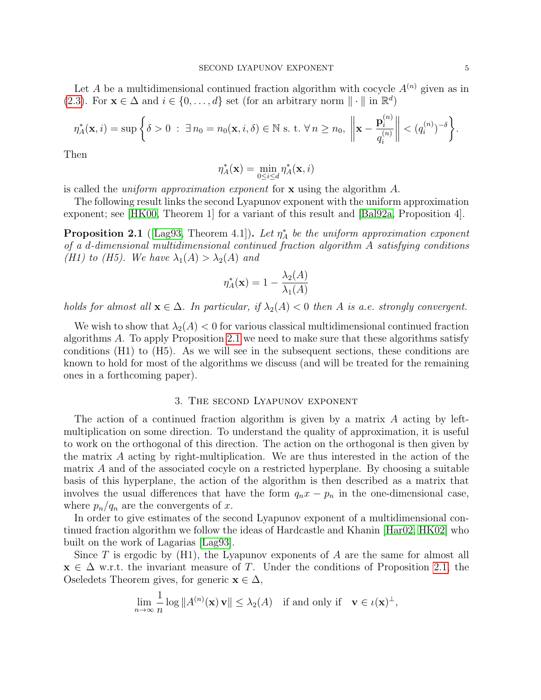Let A be a multidimensional continued fraction algorithm with cocycle  $A^{(n)}$  given as in [\(2.3\)](#page-3-0). For  $\mathbf{x} \in \Delta$  and  $i \in \{0, ..., d\}$  set (for an arbitrary norm  $\|\cdot\|$  in  $\mathbb{R}^d$ )

$$
\eta_A^*(\mathbf{x}, i) = \sup \left\{ \delta > 0 \; : \; \exists \, n_0 = n_0(\mathbf{x}, i, \delta) \in \mathbb{N} \text{ s. t. } \forall \, n \ge n_0, \; \left\| \mathbf{x} - \frac{\mathbf{p}_i^{(n)}}{q_i^{(n)}} \right\| < (q_i^{(n)})^{-\delta} \right\}.
$$

Then

$$
\eta^*_A(\mathbf{x}) = \min_{0 \leq i \leq d} \eta^*_A(\mathbf{x}, i)
$$

is called the *uniform approximation exponent* for  $\bf{x}$  using the algorithm  $\bf{A}$ .

The following result links the second Lyapunov exponent with the uniform approximation exponent; see [\[HK00,](#page-22-10) Theorem 1] for a variant of this result and [\[Bal92a,](#page-22-4) Proposition 4].

<span id="page-4-1"></span>**Proposition 2.1** ([\[Lag93,](#page-23-5) Theorem 4.1]). Let  $\eta_A^*$  be the uniform approximation exponent of a d-dimensional multidimensional continued fraction algorithm A satisfying conditions (H1) to (H5). We have  $\lambda_1(A) > \lambda_2(A)$  and

$$
\eta_A^*(\mathbf{x}) = 1 - \frac{\lambda_2(A)}{\lambda_1(A)}
$$

holds for almost all  $\mathbf{x} \in \Delta$ . In particular, if  $\lambda_2(A) < 0$  then A is a.e. strongly convergent.

We wish to show that  $\lambda_2(A) < 0$  for various classical multidimensional continued fraction algorithms A. To apply Proposition [2.1](#page-4-1) we need to make sure that these algorithms satisfy conditions (H1) to (H5). As we will see in the subsequent sections, these conditions are known to hold for most of the algorithms we discuss (and will be treated for the remaining ones in a forthcoming paper).

#### 3. The second Lyapunov exponent

<span id="page-4-0"></span>The action of a continued fraction algorithm is given by a matrix A acting by leftmultiplication on some direction. To understand the quality of approximation, it is useful to work on the orthogonal of this direction. The action on the orthogonal is then given by the matrix A acting by right-multiplication. We are thus interested in the action of the matrix A and of the associated cocyle on a restricted hyperplane. By choosing a suitable basis of this hyperplane, the action of the algorithm is then described as a matrix that involves the usual differences that have the form  $q_nx - p_n$  in the one-dimensional case, where  $p_n/q_n$  are the convergents of x.

In order to give estimates of the second Lyapunov exponent of a multidimensional continued fraction algorithm we follow the ideas of Hardcastle and Khanin [\[Har02,](#page-22-8) [HK02\]](#page-22-9) who built on the work of Lagarias [\[Lag93\]](#page-23-5).

Since T is ergodic by  $(H1)$ , the Lyapunov exponents of A are the same for almost all  $\mathbf{x} \in \Delta$  w.r.t. the invariant measure of T. Under the conditions of Proposition [2.1,](#page-4-1) the Oseledets Theorem gives, for generic  $\mathbf{x} \in \Delta$ ,

$$
\lim_{n \to \infty} \frac{1}{n} \log ||A^{(n)}(\mathbf{x}) \mathbf{v}|| \le \lambda_2(A) \text{ if and only if } \mathbf{v} \in \iota(\mathbf{x})^{\perp},
$$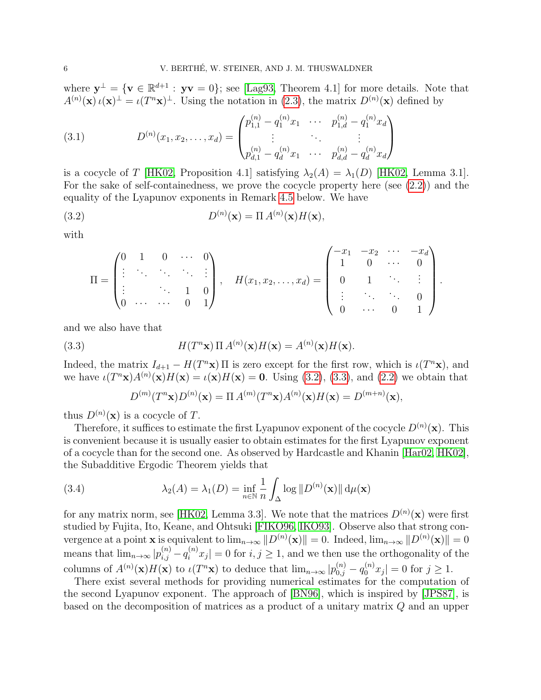where  $y^{\perp} = \{v \in \mathbb{R}^{d+1} : yv = 0\}$ ; see [\[Lag93,](#page-23-5) Theorem 4.1] for more details. Note that  $A^{(n)}(\mathbf{x}) \iota(\mathbf{x})^{\perp} = \iota(T^{n}\mathbf{x})^{\perp}$ . Using the notation in [\(2.3\)](#page-3-0), the matrix  $D^{(n)}(\mathbf{x})$  defined by

<span id="page-5-3"></span>(3.1) 
$$
D^{(n)}(x_1, x_2, \dots, x_d) = \begin{pmatrix} p_{1,1}^{(n)} - q_1^{(n)} x_1 & \cdots & p_{1,d}^{(n)} - q_1^{(n)} x_d \\ \vdots & \ddots & \vdots \\ p_{d,1}^{(n)} - q_d^{(n)} x_1 & \cdots & p_{d,d}^{(n)} - q_d^{(n)} x_d \end{pmatrix}
$$

is a cocycle of T [\[HK02,](#page-22-9) Proposition 4.1] satisfying  $\lambda_2(A) = \lambda_1(D)$  [HK02, Lemma 3.1]. For the sake of self-containedness, we prove the cocycle property here (see [\(2.2\)](#page-2-1)) and the equality of the Lyapunov exponents in Remark [4.5](#page-8-1) below. We have

(3.2) 
$$
D^{(n)}(\mathbf{x}) = \Pi A^{(n)}(\mathbf{x}) H(\mathbf{x}),
$$

with

<span id="page-5-0"></span>
$$
\Pi = \begin{pmatrix} 0 & 1 & 0 & \cdots & 0 \\ \vdots & \ddots & \ddots & \ddots & \vdots \\ \vdots & & \ddots & 1 & 0 \\ 0 & \cdots & \cdots & 0 & 1 \end{pmatrix}, \quad H(x_1, x_2, \ldots, x_d) = \begin{pmatrix} -x_1 & -x_2 & \cdots & -x_d \\ 1 & 0 & \cdots & 0 \\ 0 & 1 & \ddots & \vdots \\ \vdots & & \ddots & \ddots & 0 \\ 0 & \cdots & 0 & 1 \end{pmatrix}.
$$

and we also have that

(3.3) 
$$
H(T^{n} \mathbf{x}) \Pi A^{(n)}(\mathbf{x}) H(\mathbf{x}) = A^{(n)}(\mathbf{x}) H(\mathbf{x}).
$$

Indeed, the matrix  $I_{d+1} - H(T^n \mathbf{x}) \Pi$  is zero except for the first row, which is  $\iota(T^n \mathbf{x})$ , and we have  $\iota(T^{n} \mathbf{x})A^{(n)}(\mathbf{x})H(\mathbf{x}) = \iota(\mathbf{x})H(\mathbf{x}) = \mathbf{0}$ . Using [\(3.2\)](#page-5-0), [\(3.3\)](#page-5-1), and [\(2.2\)](#page-2-1) we obtain that

<span id="page-5-2"></span><span id="page-5-1"></span>
$$
D^{(m)}(T^n\mathbf{x})D^{(n)}(\mathbf{x}) = \Pi A^{(m)}(T^n\mathbf{x})A^{(n)}(\mathbf{x})H(\mathbf{x}) = D^{(m+n)}(\mathbf{x}),
$$

thus  $D^{(n)}(\mathbf{x})$  is a cocycle of T.

Therefore, it suffices to estimate the first Lyapunov exponent of the cocycle  $D^{(n)}(\mathbf{x})$ . This is convenient because it is usually easier to obtain estimates for the first Lyapunov exponent of a cocycle than for the second one. As observed by Hardcastle and Khanin [\[Har02,](#page-22-8) [HK02\]](#page-22-9), the Subadditive Ergodic Theorem yields that

(3.4) 
$$
\lambda_2(A) = \lambda_1(D) = \inf_{n \in \mathbb{N}} \frac{1}{n} \int_{\Delta} \log \| D^{(n)}(\mathbf{x}) \| d\mu(\mathbf{x})
$$

for any matrix norm, see [\[HK02,](#page-22-9) Lemma 3.3]. We note that the matrices  $D^{(n)}(\mathbf{x})$  were first studied by Fujita, Ito, Keane, and Ohtsuki [\[FIKO96,](#page-22-11) [IKO93\]](#page-22-12). Observe also that strong convergence at a point **x** is equivalent to  $\lim_{n\to\infty} ||D^{(n)}(\mathbf{x})|| = 0$ . Indeed,  $\lim_{n\to\infty} ||D^{(n)}(\mathbf{x})|| = 0$ means that  $\lim_{n\to\infty} |p_{i,j}^{(n)} - q_i^{(n)} x_j| = 0$  for  $i, j \ge 1$ , and we then use the orthogonality of the columns of  $A^{(n)}(\mathbf{x})H(\mathbf{x})$  to  $\iota(T^{n}\mathbf{x})$  to deduce that  $\lim_{n\to\infty}|p_{0,j}^{(n)}-q_0^{(n)}x_j|=0$  for  $j\geq 1$ .

There exist several methods for providing numerical estimates for the computation of the second Lyapunov exponent. The approach of [\[BN96\]](#page-22-7), which is inspired by [\[JPS87\]](#page-22-13), is based on the decomposition of matrices as a product of a unitary matrix Q and an upper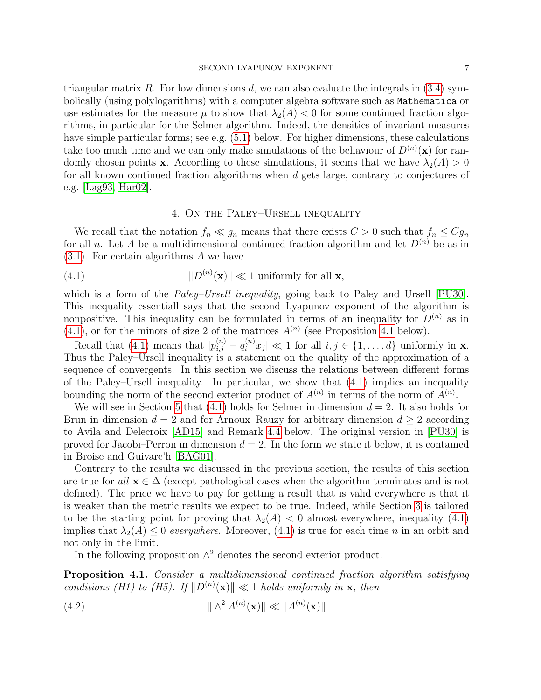triangular matrix R. For low dimensions d, we can also evaluate the integrals in  $(3.4)$  symbolically (using polylogarithms) with a computer algebra software such as Mathematica or use estimates for the measure  $\mu$  to show that  $\lambda_2(A) < 0$  for some continued fraction algorithms, in particular for the Selmer algorithm. Indeed, the densities of invariant measures have simple particular forms; see e.g.  $(5.1)$  below. For higher dimensions, these calculations take too much time and we can only make simulations of the behaviour of  $D^{(n)}(\mathbf{x})$  for randomly chosen points **x**. According to these simulations, it seems that we have  $\lambda_2(A) > 0$ for all known continued fraction algorithms when d gets large, contrary to conjectures of e.g. [\[Lag93,](#page-23-5) [Har02\]](#page-22-8).

## <span id="page-6-1"></span>4. On the Paley–Ursell inequality

<span id="page-6-0"></span>We recall that the notation  $f_n \ll g_n$  means that there exists  $C > 0$  such that  $f_n \leq Cg_n$ for all n. Let A be a multidimensional continued fraction algorithm and let  $D^{(n)}$  be as in [\(3.1\)](#page-5-3). For certain algorithms A we have

(4.1) 
$$
||D^{(n)}(\mathbf{x})|| \ll 1 \text{ uniformly for all } \mathbf{x},
$$

which is a form of the *Paley–Ursell inequality*, going back to Paley and Ursell [\[PU30\]](#page-23-7). This inequality essentiall says that the second Lyapunov exponent of the algorithm is nonpositive. This inequality can be formulated in terms of an inequality for  $D^{(n)}$  as in  $(4.1)$ , or for the minors of size 2 of the matrices  $A^{(n)}$  (see Proposition [4.1](#page-6-2) below).

Recall that [\(4.1\)](#page-6-1) means that  $|p_{i,j}^{(n)} - q_i^{(n)}x_j| \ll 1$  for all  $i, j \in \{1, ..., d\}$  uniformly in **x**. Thus the Paley–Ursell inequality is a statement on the quality of the approximation of a sequence of convergents. In this section we discuss the relations between different forms of the Paley–Ursell inequality. In particular, we show that [\(4.1\)](#page-6-1) implies an inequality bounding the norm of the second exterior product of  $A^{(n)}$  in terms of the norm of  $A^{(n)}$ .

We will see in Section [5](#page-8-0) that [\(4.1\)](#page-6-1) holds for Selmer in dimension  $d = 2$ . It also holds for Brun in dimension  $d = 2$  and for Arnoux–Rauzy for arbitrary dimension  $d \geq 2$  according to Avila and Delecroix [\[AD15\]](#page-21-1) and Remark [4.4](#page-8-2) below. The original version in [\[PU30\]](#page-23-7) is proved for Jacobi–Perron in dimension  $d = 2$ . In the form we state it below, it is contained in Broise and Guivarc'h [\[BAG01\]](#page-22-14).

Contrary to the results we discussed in the previous section, the results of this section are true for all  $\mathbf{x} \in \Delta$  (except pathological cases when the algorithm terminates and is not defined). The price we have to pay for getting a result that is valid everywhere is that it is weaker than the metric results we expect to be true. Indeed, while Section [3](#page-4-0) is tailored to be the starting point for proving that  $\lambda_2(A) < 0$  almost everywhere, inequality [\(4.1\)](#page-6-1) implies that  $\lambda_2(A) \leq 0$  everywhere. Moreover, [\(4.1\)](#page-6-1) is true for each time n in an orbit and not only in the limit.

<span id="page-6-3"></span>In the following proposition  $\wedge^2$  denotes the second exterior product.

<span id="page-6-2"></span>Proposition 4.1. Consider a multidimensional continued fraction algorithm satisfying conditions (H1) to (H5). If  $||D^{(n)}(\mathbf{x})|| \ll 1$  holds uniformly in **x**, then

(4.2) 
$$
\|\wedge^2 A^{(n)}(\mathbf{x})\| \ll \|A^{(n)}(\mathbf{x})\|
$$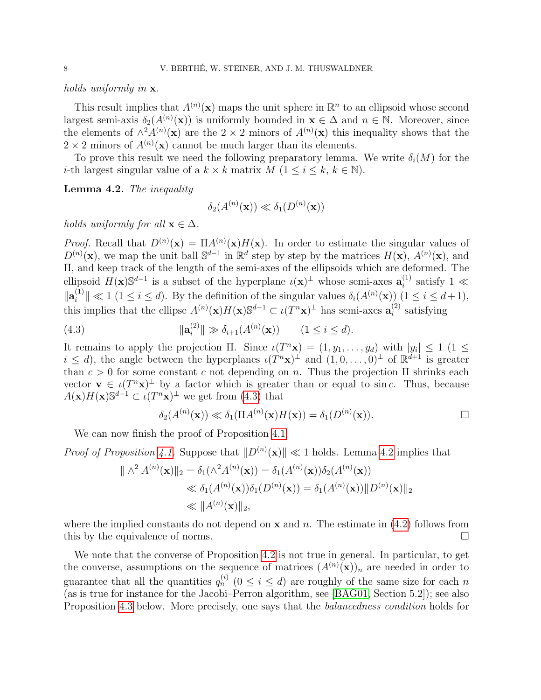holds uniformly in **x**.

This result implies that  $A^{(n)}(\mathbf{x})$  maps the unit sphere in  $\mathbb{R}^n$  to an ellipsoid whose second largest semi-axis  $\delta_2(A^{(n)}(\mathbf{x}))$  is uniformly bounded in  $\mathbf{x} \in \Delta$  and  $n \in \mathbb{N}$ . Moreover, since the elements of  $\wedge^2 A^{(n)}(\mathbf{x})$  are the 2 × 2 minors of  $A^{(n)}(\mathbf{x})$  this inequality shows that the  $2 \times 2$  minors of  $A^{(n)}(\mathbf{x})$  cannot be much larger than its elements.

To prove this result we need the following preparatory lemma. We write  $\delta_i(M)$  for the *i*-th largest singular value of a  $k \times k$  matrix  $M$   $(1 \leq i \leq k, k \in \mathbb{N})$ .

<span id="page-7-1"></span>Lemma 4.2. The inequality

$$
\delta_2(A^{(n)}(\mathbf{x})) \ll \delta_1(D^{(n)}(\mathbf{x}))
$$

holds uniformly for all  $\mathbf{x} \in \Delta$ .

*Proof.* Recall that  $D^{(n)}(\mathbf{x}) = \Pi A^{(n)}(\mathbf{x}) H(\mathbf{x})$ . In order to estimate the singular values of  $D^{(n)}(\mathbf{x})$ , we map the unit ball  $\mathbb{S}^{d-1}$  in  $\mathbb{R}^d$  step by step by the matrices  $H(\mathbf{x})$ ,  $A^{(n)}(\mathbf{x})$ , and Π, and keep track of the length of the semi-axes of the ellipsoids which are deformed. The ellipsoid  $H(\mathbf{x})\mathbb{S}^{d-1}$  is a subset of the hyperplane  $\iota(\mathbf{x})^{\perp}$  whose semi-axes  $\mathbf{a}_i^{(1)}$  $i^{(1)}$  satisfy 1  $\ll$  $\| \mathbf{a}^{(1)}_i$  $\|\hat{u}^{(1)}\| \ll 1 \ (1 \leq i \leq d)$ . By the definition of the singular values  $\delta_i(A^{(n)}(\mathbf{x}))$   $(1 \leq i \leq d+1)$ , this implies that the ellipse  $A^{(n)}(\mathbf{x})H(\mathbf{x})\mathbb{S}^{d-1} \subset \iota(T^n\mathbf{x})^{\perp}$  has semi-axes  $\mathbf{a}_i^{(2)}$  $i^{(2)}$  satisfying

(4.3) 
$$
\|\mathbf{a}_{i}^{(2)}\| \gg \delta_{i+1}(A^{(n)}(\mathbf{x})) \qquad (1 \leq i \leq d).
$$

It remains to apply the projection  $\Pi$ . Since  $\iota(T^n \mathbf{x}) = (1, y_1, \dots, y_d)$  with  $|y_i| \leq 1$  (1  $\leq$  $i \leq d$ , the angle between the hyperplanes  $\iota(T^n \mathbf{x})^{\perp}$  and  $(1,0,\ldots,0)^{\perp}$  of  $\mathbb{R}^{d+1}$  is greater than  $c > 0$  for some constant c not depending on n. Thus the projection  $\Pi$  shrinks each vector  $\mathbf{v} \in \iota(T^n \mathbf{x})^{\perp}$  by a factor which is greater than or equal to sinc. Thus, because  $A(\mathbf{x})H(\mathbf{x})\mathbb{S}^{d-1} \subset \iota(T^n\mathbf{x})^{\perp}$  we get from  $(4.3)$  that

<span id="page-7-0"></span>
$$
\delta_2(A^{(n)}(\mathbf{x})) \ll \delta_1(\Pi A^{(n)}(\mathbf{x})H(\mathbf{x})) = \delta_1(D^{(n)}(\mathbf{x})).
$$

We can now finish the proof of Proposition [4.1.](#page-6-2)

*Proof of Proposition [4.1.](#page-6-2)* Suppose that  $||D^{(n)}(\mathbf{x})|| \ll 1$  holds. Lemma [4.2](#page-7-1) implies that

$$
\|\wedge^2 A^{(n)}(\mathbf{x})\|_2 = \delta_1(\wedge^2 A^{(n)}(\mathbf{x})) = \delta_1(A^{(n)}(\mathbf{x}))\delta_2(A^{(n)}(\mathbf{x}))
$$
  

$$
\ll \delta_1(A^{(n)}(\mathbf{x}))\delta_1(D^{(n)}(\mathbf{x})) = \delta_1(A^{(n)}(\mathbf{x}))\|D^{(n)}(\mathbf{x})\|_2
$$
  

$$
\ll \|A^{(n)}(\mathbf{x})\|_2,
$$

where the implied constants do not depend on  $x$  and  $n$ . The estimate in [\(4.2\)](#page-6-3) follows from this by the equivalence of norms.

We note that the converse of Proposition [4.2](#page-6-3) is not true in general. In particular, to get the converse, assumptions on the sequence of matrices  $(A^{(n)}(\mathbf{x}))_n$  are needed in order to guarantee that all the quantities  $q_n^{(i)}$   $(0 \le i \le d)$  are roughly of the same size for each n (as is true for instance for the Jacobi–Perron algorithm, see [\[BAG01,](#page-22-14) Section 5.2]); see also Proposition [4.3](#page-8-3) below. More precisely, one says that the *balancedness condition* holds for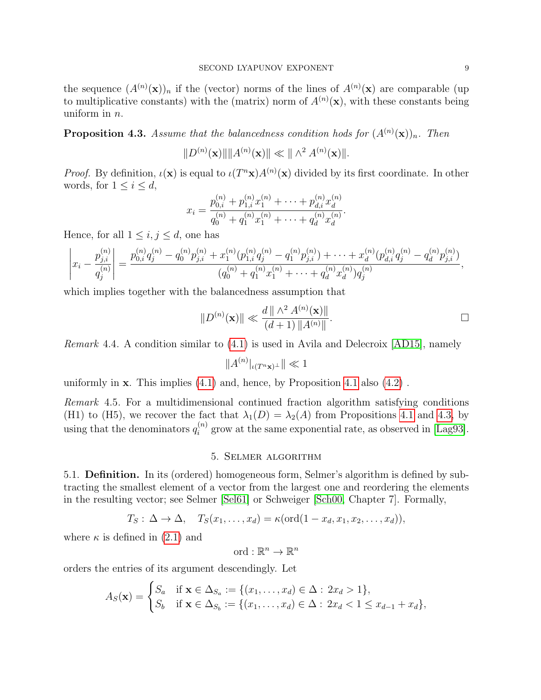the sequence  $(A^{(n)}(\mathbf{x}))_n$  if the (vector) norms of the lines of  $A^{(n)}(\mathbf{x})$  are comparable (up to multiplicative constants) with the (matrix) norm of  $A^{(n)}(\mathbf{x})$ , with these constants being uniform in  $n$ .

<span id="page-8-3"></span>**Proposition 4.3.** Assume that the balancedness condition hods for  $(A^{(n)}(\mathbf{x}))_n$ . Then

 $||D^{(n)}(\mathbf{x})|| ||A^{(n)}(\mathbf{x})|| \ll ||\wedge^2 A^{(n)}(\mathbf{x})||.$ 

*Proof.* By definition,  $\iota(\mathbf{x})$  is equal to  $\iota(T^{n}\mathbf{x})A^{(n)}(\mathbf{x})$  divided by its first coordinate. In other words, for  $1 \leq i \leq d$ ,

$$
x_i = \frac{p_{0,i}^{(n)} + p_{1,i}^{(n)} x_1^{(n)} + \dots + p_{d,i}^{(n)} x_d^{(n)}}{q_0^{(n)} + q_1^{(n)} x_1^{(n)} + \dots + q_d^{(n)} x_d^{(n)}}.
$$

Hence, for all  $1 \leq i, j \leq d$ , one has

$$
\left|x_i - \frac{p_{j,i}^{(n)}}{q_j^{(n)}}\right| = \frac{p_{0,i}^{(n)}q_j^{(n)} - q_0^{(n)}p_{j,i}^{(n)} + x_1^{(n)}(p_{1,i}^{(n)}q_j^{(n)} - q_1^{(n)}p_{j,i}^{(n)}) + \cdots + x_d^{(n)}(p_{d,i}^{(n)}q_j^{(n)} - q_d^{(n)}p_{j,i}^{(n)})}{(q_0^{(n)} + q_1^{(n)}x_1^{(n)} + \cdots + q_d^{(n)}x_d^{(n)})q_j^{(n)}},
$$

which implies together with the balancedness assumption that

$$
||D^{(n)}(\mathbf{x})|| \ll \frac{d ||\wedge^2 A^{(n)}(\mathbf{x})||}{(d+1) ||A^{(n)}||}.
$$

<span id="page-8-2"></span>*Remark* 4.4. A condition similar to  $(4.1)$  is used in Avila and Delecroix [\[AD15\]](#page-21-1), namely

 $||A^{(n)}|_{\iota(T^{n}x)^{\perp}}|| \ll 1$ 

uniformly in  $x$ . This implies  $(4.1)$  and, hence, by Proposition [4.1](#page-6-2) also  $(4.2)$ .

<span id="page-8-1"></span>Remark 4.5. For a multidimensional continued fraction algorithm satisfying conditions (H1) to (H5), we recover the fact that  $\lambda_1(D) = \lambda_2(A)$  from Propositions [4.1](#page-6-2) and [4.3,](#page-8-3) by using that the denominators  $q_i^{(n)}$  $i^{(n)}$  grow at the same exponential rate, as observed in [\[Lag93\]](#page-23-5).

### 5. Selmer algorithm

<span id="page-8-4"></span><span id="page-8-0"></span>5.1. Definition. In its (ordered) homogeneous form, Selmer's algorithm is defined by subtracting the smallest element of a vector from the largest one and reordering the elements in the resulting vector; see Selmer [\[Sel61\]](#page-23-8) or Schweiger [\[Sch00,](#page-23-6) Chapter 7]. Formally,

$$
T_S: \Delta \to \Delta, \quad T_S(x_1, \ldots, x_d) = \kappa(\text{ord}(1 - x_d, x_1, x_2, \ldots, x_d)),
$$

where  $\kappa$  is defined in [\(2.1\)](#page-2-2) and

$$
\text{ord} : \mathbb{R}^n \to \mathbb{R}^n
$$

orders the entries of its argument descendingly. Let

$$
A_S(\mathbf{x}) = \begin{cases} S_a & \text{if } \mathbf{x} \in \Delta_{S_a} := \{ (x_1, \dots, x_d) \in \Delta : 2x_d > 1 \}, \\ S_b & \text{if } \mathbf{x} \in \Delta_{S_b} := \{ (x_1, \dots, x_d) \in \Delta : 2x_d < 1 \le x_{d-1} + x_d \}, \end{cases}
$$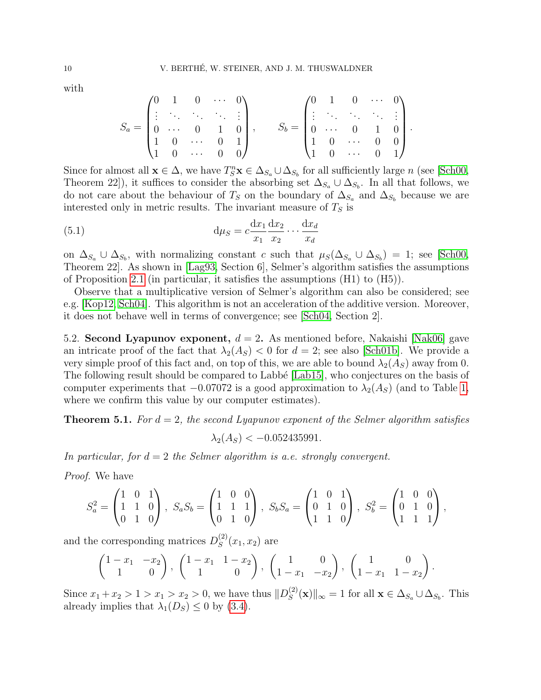with

$$
S_a = \begin{pmatrix} 0 & 1 & 0 & \cdots & 0 \\ \vdots & \ddots & \ddots & \ddots & \vdots \\ 0 & \cdots & 0 & 1 & 0 \\ 1 & 0 & \cdots & 0 & 1 \\ 1 & 0 & \cdots & 0 & 0 \end{pmatrix}, \qquad S_b = \begin{pmatrix} 0 & 1 & 0 & \cdots & 0 \\ \vdots & \ddots & \ddots & \ddots & \vdots \\ 0 & \cdots & 0 & 1 & 0 \\ 1 & 0 & \cdots & 0 & 0 \\ 1 & 0 & \cdots & 0 & 1 \end{pmatrix}
$$

.

Since for almost all  $\mathbf{x} \in \Delta$ , we have  $T_S^n \mathbf{x} \in \Delta_{S_a} \cup \Delta_{S_b}$  for all sufficiently large n (see [\[Sch00,](#page-23-6) Theorem 22]), it suffices to consider the absorbing set  $\Delta_{S_a} \cup \Delta_{S_b}$ . In all that follows, we do not care about the behaviour of  $T_S$  on the boundary of  $\Delta_{S_a}$  and  $\Delta_{S_b}$  because we are interested only in metric results. The invariant measure of  $T<sub>S</sub>$  is

<span id="page-9-0"></span>(5.1) 
$$
\mathrm{d}\mu_S = c \frac{\mathrm{d}x_1}{x_1} \frac{\mathrm{d}x_2}{x_2} \cdots \frac{\mathrm{d}x_d}{x_d}
$$

on  $\Delta_{S_a} \cup \Delta_{S_b}$ , with normalizing constant c such that  $\mu_S(\Delta_{S_a} \cup \Delta_{S_b}) = 1$ ; see [\[Sch00,](#page-23-6) Theorem 22]. As shown in [\[Lag93,](#page-23-5) Section 6], Selmer's algorithm satisfies the assumptions of Proposition [2.1](#page-4-1) (in particular, it satisfies the assumptions (H1) to (H5)).

Observe that a multiplicative version of Selmer's algorithm can also be considered; see e.g. [\[Kop12,](#page-22-15) [Sch04\]](#page-23-2). This algorithm is not an acceleration of the additive version. Moreover, it does not behave well in terms of convergence; see [\[Sch04,](#page-23-2) Section 2].

5.2. Second Lyapunov exponent,  $d = 2$ . As mentioned before, Nakaishi [\[Nak06\]](#page-23-3) gave an intricate proof of the fact that  $\lambda_2(A_S) < 0$  for  $d = 2$ ; see also [\[Sch01b\]](#page-23-1). We provide a very simple proof of this fact and, on top of this, we are able to bound  $\lambda_2(A_S)$  away from 0. The following result should be compared to Labbé [\[Lab15\]](#page-22-6), who conjectures on the basis of computer experiments that  $-0.07072$  is a good approximation to  $\lambda_2(A_S)$  (and to Table [1,](#page-13-0) where we confirm this value by our computer estimates).

<span id="page-9-1"></span>**Theorem 5.1.** For  $d = 2$ , the second Lyapunov exponent of the Selmer algorithm satisfies

$$
\lambda_2(A_S) < -0.052435991.
$$

In particular, for  $d = 2$  the Selmer algorithm is a.e. strongly convergent.

Proof. We have

$$
S_a^2 = \begin{pmatrix} 1 & 0 & 1 \\ 1 & 1 & 0 \\ 0 & 1 & 0 \end{pmatrix}, \ S_a S_b = \begin{pmatrix} 1 & 0 & 0 \\ 1 & 1 & 1 \\ 0 & 1 & 0 \end{pmatrix}, \ S_b S_a = \begin{pmatrix} 1 & 0 & 1 \\ 0 & 1 & 0 \\ 1 & 1 & 0 \end{pmatrix}, \ S_b^2 = \begin{pmatrix} 1 & 0 & 0 \\ 0 & 1 & 0 \\ 1 & 1 & 1 \end{pmatrix},
$$

and the corresponding matrices  $D_S^{(2)}$  $S^{(2)}(x_1, x_2)$  are

$$
\begin{pmatrix} 1-x_1 & -x_2 \ 1 & 0 \end{pmatrix}, \begin{pmatrix} 1-x_1 & 1-x_2 \ 1 & 0 \end{pmatrix}, \begin{pmatrix} 1 & 0 \ 1-x_1 & -x_2 \end{pmatrix}, \begin{pmatrix} 1 & 0 \ 1-x_1 & 1-x_2 \end{pmatrix}.
$$

Since  $x_1 + x_2 > 1 > x_1 > x_2 > 0$ , we have thus  $||D_S^{(2)}||$  $\mathcal{L}_S^{(2)}(\mathbf{x})\|_{\infty} = 1$  for all  $\mathbf{x} \in \Delta_{S_a} \cup \Delta_{S_b}$ . This already implies that  $\lambda_1(D_S) \leq 0$  by [\(3.4\)](#page-5-2).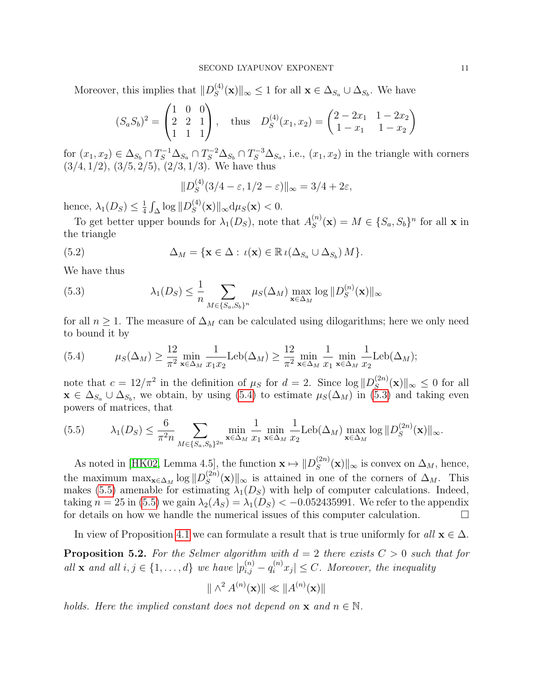Moreover, this implies that  $||D_S^{(4)}||$  $\|S_{S}^{(4)}(\mathbf{x})\|_{\infty} \leq 1$  for all  $\mathbf{x} \in \Delta_{S_a} \cup \Delta_{S_b}$ . We have

$$
(S_a S_b)^2 = \begin{pmatrix} 1 & 0 & 0 \\ 2 & 2 & 1 \\ 1 & 1 & 1 \end{pmatrix}, \text{ thus } D_S^{(4)}(x_1, x_2) = \begin{pmatrix} 2 - 2x_1 & 1 - 2x_2 \\ 1 - x_1 & 1 - x_2 \end{pmatrix}
$$

for  $(x_1, x_2) \in \Delta_{S_b} \cap T_S^{-1} \Delta_{S_a} \cap T_S^{-2} \Delta_{S_b} \cap T_S^{-3} \Delta_{S_a}$ , i.e.,  $(x_1, x_2)$  in the triangle with corners  $(3/4, 1/2), (3/5, 2/5), (2/3, 1/3)$ . We have thus

<span id="page-10-3"></span>
$$
||D_S^{(4)}(3/4-\varepsilon, 1/2-\varepsilon)||_{\infty} = 3/4 + 2\varepsilon,
$$

hence,  $\lambda_1(D_S) \leq \frac{1}{4}$  $\frac{1}{4} \int_{\Delta} \log \| D_S^{(4)}$  $S^{(4)}(x)\Vert_{\infty}d\mu_S(x) < 0.$ 

To get better upper bounds for  $\lambda_1(D_S)$ , note that  $A_S^{(n)}$  $S^{(n)}(x) = M \in \{S_a, S_b\}^n$  for all x in the triangle

(5.2) 
$$
\Delta_M = \{ \mathbf{x} \in \Delta : \, \iota(\mathbf{x}) \in \mathbb{R} \, \iota(\Delta_{S_a} \cup \Delta_{S_b}) \, M \}.
$$

We have thus

<span id="page-10-1"></span>(5.3) 
$$
\lambda_1(D_S) \leq \frac{1}{n} \sum_{M \in \{S_a, S_b\}^n} \mu_S(\Delta_M) \max_{\mathbf{x} \in \Delta_M} \log \|D_S^{(n)}(\mathbf{x})\|_{\infty}
$$

for all  $n \geq 1$ . The measure of  $\Delta_M$  can be calculated using dilogarithms; here we only need to bound it by

<span id="page-10-0"></span>(5.4) 
$$
\mu_S(\Delta_M) \ge \frac{12}{\pi^2} \min_{\mathbf{x} \in \Delta_M} \frac{1}{x_1 x_2} \text{Leb}(\Delta_M) \ge \frac{12}{\pi^2} \min_{\mathbf{x} \in \Delta_M} \frac{1}{x_1} \min_{\mathbf{x} \in \Delta_M} \frac{1}{x_2} \text{Leb}(\Delta_M);
$$

note that  $c = 12/\pi^2$  in the definition of  $\mu_S$  for  $d = 2$ . Since  $\log |D_S^{(2n)}|$  $S^{(2n)}(\mathbf{x})\|_{\infty} \leq 0$  for all  $\mathbf{x} \in \Delta_{S_a} \cup \Delta_{S_b}$ , we obtain, by using [\(5.4\)](#page-10-0) to estimate  $\mu_S(\Delta_M)$  in [\(5.3\)](#page-10-1) and taking even powers of matrices, that

<span id="page-10-2"></span>
$$
(5.5) \qquad \lambda_1(D_S) \le \frac{6}{\pi^2 n} \sum_{M \in \{S_a, S_b\}^{2n}} \min_{\mathbf{x} \in \Delta_M} \frac{1}{x_1} \min_{\mathbf{x} \in \Delta_M} \frac{1}{x_2} \text{Leb}(\Delta_M) \max_{\mathbf{x} \in \Delta_M} \log \|D_S^{(2n)}(\mathbf{x})\|_{\infty}.
$$

As noted in [\[HK02,](#page-22-9) Lemma 4.5], the function  $\mathbf{x} \mapsto ||D_{S}^{(2n)}||$  $\mathcal{L}_S^{(2n)}(\mathbf{x})\|_{\infty}$  is convex on  $\Delta_M$ , hence, the maximum  $\max_{\mathbf{x} \in \Delta_M} \log ||D_S^{(2n)}||$  $\mathcal{L}_{S}^{(2n)}(\mathbf{x})\|_{\infty}$  is attained in one of the corners of  $\Delta_M$ . This makes [\(5.5\)](#page-10-2) amenable for estimating  $\lambda_1(D_S)$  with help of computer calculations. Indeed, taking  $n = 25$  in [\(5.5\)](#page-10-2) we gain  $\lambda_2(A_S) = \lambda_1(D_S) < -0.052435991$ . We refer to the appendix for details on how we handle the numerical issues of this computer calculation.  $\Box$ 

In view of Proposition [4.1](#page-6-2) we can formulate a result that is true uniformly for all  $\mathbf{x} \in \Delta$ .

**Proposition 5.2.** For the Selmer algorithm with  $d = 2$  there exists  $C > 0$  such that for all **x** and all  $i, j \in \{1, ..., d\}$  we have  $|p_{i,j}^{(n)} - q_i^{(n)}x_j| \leq C$ . Moreover, the inequality

$$
\|\wedge^2 A^{(n)}(\mathbf{x})\| \ll \|A^{(n)}(\mathbf{x})\|
$$

holds. Here the implied constant does not depend on  $\mathbf x$  and  $n \in \mathbb N$ .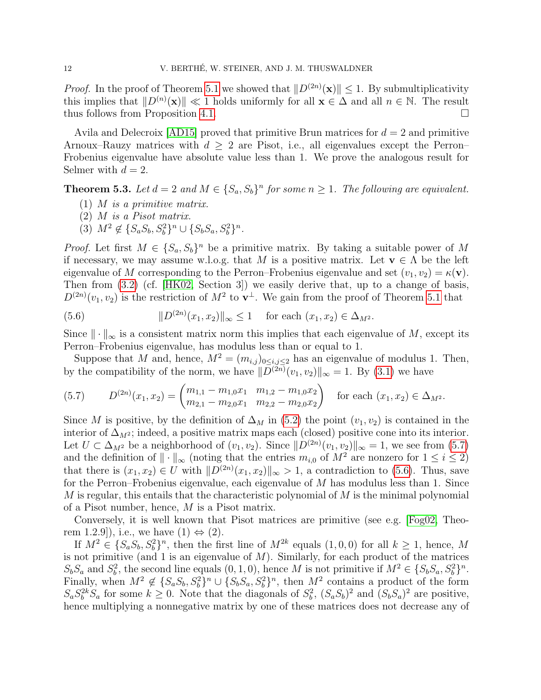*Proof.* In the proof of Theorem [5.1](#page-9-1) we showed that  $||D^{(2n)}(\mathbf{x})|| \leq 1$ . By submultiplicativity this implies that  $||D^{(n)}(\mathbf{x})|| \ll 1$  holds uniformly for all  $\mathbf{x} \in \Delta$  and all  $n \in \mathbb{N}$ . The result thus follows from Proposition [4.1.](#page-6-2)

Avila and Delecroix [\[AD15\]](#page-21-1) proved that primitive Brun matrices for  $d = 2$  and primitive Arnoux–Rauzy matrices with  $d \geq 2$  are Pisot, i.e., all eigenvalues except the Perron– Frobenius eigenvalue have absolute value less than 1. We prove the analogous result for Selmer with  $d = 2$ .

**Theorem 5.3.** Let  $d = 2$  and  $M \in \{S_a, S_b\}^n$  for some  $n \ge 1$ . The following are equivalent.

- (1)  $M$  is a primitive matrix.
- (2) M is a Pisot matrix.
- (3)  $M^2 \notin \{S_a S_b, S_b^2\}^n \cup \{S_b S_a, S_b^2\}^n$ .

*Proof.* Let first  $M \in \{S_a, S_b\}^n$  be a primitive matrix. By taking a suitable power of M if necessary, we may assume w.l.o.g. that M is a positive matrix. Let  $\mathbf{v} \in \Lambda$  be the left eigenvalue of M corresponding to the Perron–Frobenius eigenvalue and set  $(v_1, v_2) = \kappa(\mathbf{v})$ . Then from [\(3.2\)](#page-5-0) (cf. [\[HK02,](#page-22-9) Section 3]) we easily derive that, up to a change of basis,  $D^{(2n)}(v_1, v_2)$  is the restriction of  $M^2$  to  $\mathbf{v}^{\perp}$ . We gain from the proof of Theorem [5.1](#page-9-1) that

<span id="page-11-1"></span>(5.6) 
$$
||D^{(2n)}(x_1, x_2)||_{\infty} \le 1 \quad \text{for each } (x_1, x_2) \in \Delta_{M^2}.
$$

Since  $\|\cdot\|_{\infty}$  is a consistent matrix norm this implies that each eigenvalue of M, except its Perron–Frobenius eigenvalue, has modulus less than or equal to 1.

Suppose that M and, hence,  $M^2 = (m_{i,j})_{0 \le i,j \le 2}$  has an eigenvalue of modulus 1. Then, by the compatibility of the norm, we have  $||D^{(2n)}(v_1, v_2)||_{\infty} = 1$ . By [\(3.1\)](#page-5-3) we have

<span id="page-11-0"></span>
$$
(5.7) \tD^{(2n)}(x_1, x_2) = \begin{pmatrix} m_{1,1} - m_{1,0}x_1 & m_{1,2} - m_{1,0}x_2 \\ m_{2,1} - m_{2,0}x_1 & m_{2,2} - m_{2,0}x_2 \end{pmatrix} \text{ for each } (x_1, x_2) \in \Delta_{M^2}.
$$

Since M is positive, by the definition of  $\Delta_M$  in [\(5.2\)](#page-10-3) the point  $(v_1, v_2)$  is contained in the interior of  $\Delta_{M^2}$ ; indeed, a positive matrix maps each (closed) positive cone into its interior. Let  $U \subset \Delta_{M^2}$  be a neighborhood of  $(v_1, v_2)$ . Since  $||D^{(2n)}(v_1, v_2)||_{\infty} = 1$ , we see from [\(5.7\)](#page-11-0) and the definition of  $\|\cdot\|_{\infty}$  (noting that the entries  $m_{i,0}$  of  $M^2$  are nonzero for  $1 \leq i \leq 2$ ) that there is  $(x_1, x_2) \in U$  with  $||D^{(2n)}(x_1, x_2)||_{\infty} > 1$ , a contradiction to [\(5.6\)](#page-11-1). Thus, save for the Perron–Frobenius eigenvalue, each eigenvalue of  $M$  has modulus less than 1. Since  $M$  is regular, this entails that the characteristic polynomial of  $M$  is the minimal polynomial of a Pisot number, hence, M is a Pisot matrix.

Conversely, it is well known that Pisot matrices are primitive (see e.g. [\[Fog02,](#page-22-16) Theorem 1.2.9]), i.e., we have  $(1) \Leftrightarrow (2)$ .

If  $M^2 \in \{S_a S_b, S_b^2\}^n$ , then the first line of  $M^{2k}$  equals  $(1,0,0)$  for all  $k \ge 1$ , hence, M is not primitive (and 1 is an eigenvalue of  $M$ ). Similarly, for each product of the matrices  $S_b S_a$  and  $S_b^2$ , the second line equals  $(0, 1, 0)$ , hence M is not primitive if  $M^2 \in \{S_b S_a, S_b^2\}^n$ . Finally, when  $M^2 \notin \{S_a S_b, S_b^2\}^n \cup \{S_b S_a, S_b^2\}^n$ , then  $M^2$  contains a product of the form  $S_a S_b^{2k} S_a$  for some  $k \geq 0$ . Note that the diagonals of  $S_b^2$ ,  $(S_a S_b)^2$  and  $(S_b S_a)^2$  are positive, hence multiplying a nonnegative matrix by one of these matrices does not decrease any of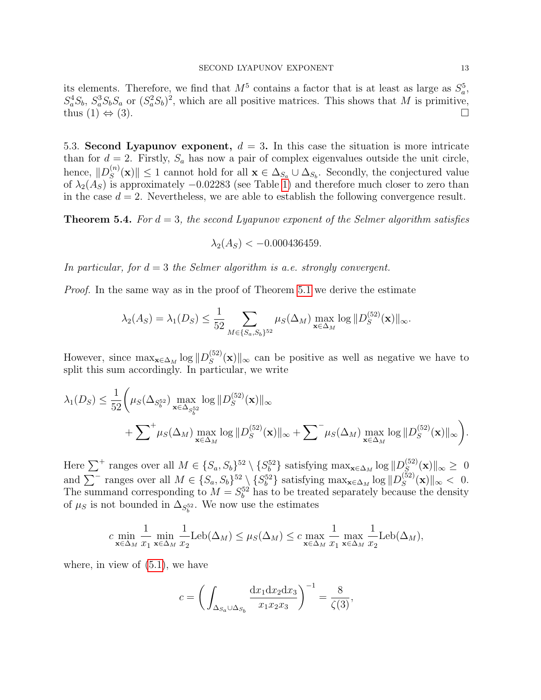its elements. Therefore, we find that  $M^5$  contains a factor that is at least as large as  $S_a^5$ ,  $S_a^4S_b$ ,  $S_a^3S_bS_a$  or  $(S_a^2S_b)^2$ , which are all positive matrices. This shows that M is primitive, thus  $(1) \Leftrightarrow (3)$ .

5.3. Second Lyapunov exponent,  $d = 3$ . In this case the situation is more intricate than for  $d = 2$ . Firstly,  $S_a$  has now a pair of complex eigenvalues outside the unit circle, hence,  $||D_S^{(n)}||$  $||S_{S}^{(n)}(\mathbf{x})|| \leq 1$  cannot hold for all  $\mathbf{x} \in \Delta_{S_a} \cup \Delta_{S_b}$ . Secondly, the conjectured value of  $\lambda_2(A_S)$  is approximately  $-0.02283$  (see Table [1\)](#page-13-0) and therefore much closer to zero than in the case  $d = 2$ . Nevertheless, we are able to establish the following convergence result.

<span id="page-12-0"></span>**Theorem 5.4.** For  $d = 3$ , the second Lyapunov exponent of the Selmer algorithm satisfies

$$
\lambda_2(A_S) < -0.000436459.
$$

In particular, for  $d = 3$  the Selmer algorithm is a.e. strongly convergent.

*Proof.* In the same way as in the proof of Theorem [5.1](#page-9-1) we derive the estimate

$$
\lambda_2(A_S) = \lambda_1(D_S) \le \frac{1}{52} \sum_{M \in \{S_a, S_b\}^{52}} \mu_S(\Delta_M) \max_{\mathbf{x} \in \Delta_M} \log \| D_S^{(52)}(\mathbf{x}) \|_{\infty}.
$$

However, since  $\max_{\mathbf{x} \in \Delta_M} \log ||D_S^{(52)}||$  $\mathcal{L}_S^{(52)}(\mathbf{x})\|_{\infty}$  can be positive as well as negative we have to split this sum accordingly. In particular, we write

$$
\lambda_1(D_S) \leq \frac{1}{52} \bigg( \mu_S(\Delta_{S_b^{52}}) \max_{\mathbf{x} \in \Delta_{S_b^{52}}} \log \|D_S^{(52)}(\mathbf{x})\|_{\infty} + \sum^+ \mu_S(\Delta_M) \max_{\mathbf{x} \in \Delta_M} \log \|D_S^{(52)}(\mathbf{x})\|_{\infty} + \sum^+ \mu_S(\Delta_M) \max_{\mathbf{x} \in \Delta_M} \log \|D_S^{(52)}(\mathbf{x})\|_{\infty} \bigg).
$$

Here  $\sum^+$  ranges over all  $M \in \{S_a, S_b\}^{52} \setminus \{S_b^{52}\}\$  satisfying  $\max_{\mathbf{x} \in \Delta_M} \log ||D_S^{(52)}||$  $\int_{S}^{(52)}(\mathbf{x})\Vert_{\infty}\geq 0$ and  $\sum^-$  ranges over all  $M \in \{S_a, S_b\}^{52} \setminus \{S_b^{52}\}\$  satisfying  $\max_{\mathbf{x} \in \Delta_M} \log ||D_S^{(52)}||$  $S^{(52)}(x)\|_{\infty} < 0.$ The summand corresponding to  $M = S_b^{52}$  has to be treated separately because the density of  $\mu_S$  is not bounded in  $\Delta_{S_b^{52}}$ . We now use the estimates

$$
c \min_{\mathbf{x} \in \Delta_M} \frac{1}{x_1} \min_{\mathbf{x} \in \Delta_M} \frac{1}{x_2} \text{Leb}(\Delta_M) \le \mu_S(\Delta_M) \le c \max_{\mathbf{x} \in \Delta_M} \frac{1}{x_1} \max_{\mathbf{x} \in \Delta_M} \frac{1}{x_2} \text{Leb}(\Delta_M),
$$

where, in view of  $(5.1)$ , we have

$$
c = \left(\int_{\Delta_{S_a} \cup \Delta_{S_b}} \frac{\mathrm{d}x_1 \mathrm{d}x_2 \mathrm{d}x_3}{x_1 x_2 x_3}\right)^{-1} = \frac{8}{\zeta(3)},
$$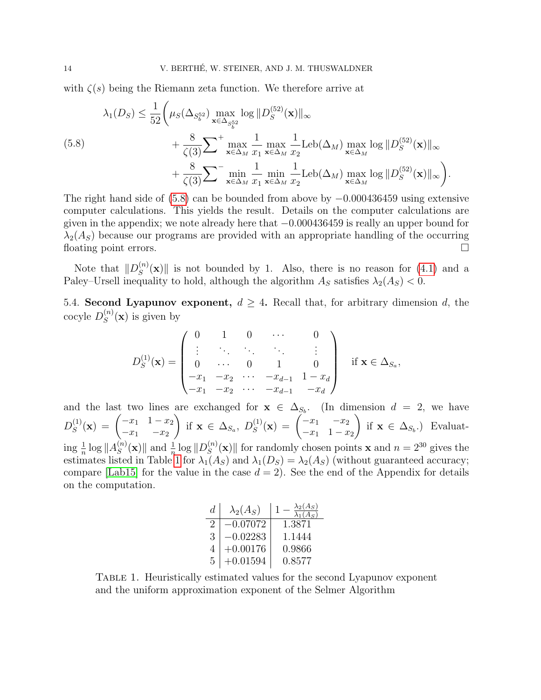with  $\zeta(s)$  being the Riemann zeta function. We therefore arrive at

<span id="page-13-1"></span>
$$
\lambda_1(D_S) \leq \frac{1}{52} \left( \mu_S(\Delta_{S_b^{52}}) \max_{\mathbf{x} \in \Delta_{S_b^{52}}} \log \|D_S^{(52)}(\mathbf{x})\|_{\infty} + \frac{8}{\zeta(3)} \sum_{\mathbf{x} \in \Delta_M} \max_{x_1} \frac{1}{\kappa \epsilon \Delta_M} \max_{x_2} \frac{1}{x_2} \text{Leb}(\Delta_M) \max_{\mathbf{x} \in \Delta_M} \log \|D_S^{(52)}(\mathbf{x})\|_{\infty} + \frac{8}{\zeta(3)} \sum_{\mathbf{x} \in \Delta_M} \min_{x_1} \frac{1}{\kappa \epsilon \Delta_M} \min_{x_2} \text{Leb}(\Delta_M) \max_{\mathbf{x} \in \Delta_M} \log \|D_S^{(52)}(\mathbf{x})\|_{\infty} \right).
$$

The right hand side of  $(5.8)$  can be bounded from above by  $-0.000436459$  using extensive computer calculations. This yields the result. Details on the computer calculations are given in the appendix; we note already here that −0.000436459 is really an upper bound for  $\lambda_2(A_S)$  because our programs are provided with an appropriate handling of the occurring floating point errors.

Note that  $||D_S^{(n)}||$  $\mathbb{E}_{S}^{(n)}(\mathbf{x})$  is not bounded by 1. Also, there is no reason for [\(4.1\)](#page-6-1) and a Paley–Ursell inequality to hold, although the algorithm  $A_S$  satisfies  $\lambda_2(A_S) < 0$ .

5.4. Second Lyapunov exponent,  $d \geq 4$ . Recall that, for arbitrary dimension d, the cocyle  $D_S^{(n)}$  $S^{(n)}(x)$  is given by

$$
D_S^{(1)}(\mathbf{x}) = \begin{pmatrix} 0 & 1 & 0 & \cdots & 0 \\ \vdots & \ddots & \ddots & \ddots & \vdots \\ 0 & \cdots & 0 & 1 & 0 \\ -x_1 & -x_2 & \cdots & -x_{d-1} & 1 - x_d \\ -x_1 & -x_2 & \cdots & -x_{d-1} & -x_d \end{pmatrix} \text{ if } \mathbf{x} \in \Delta_{S_a},
$$

and the last two lines are exchanged for  $x \in \Delta_{S_b}$ . (In dimension  $d = 2$ , we have  $D_S^{(1)}$  $S^{(1)}(x) = \begin{pmatrix} -x_1 & 1-x_2 \ -x_1 & -x_2 \end{pmatrix}$  $-x_1$   $-x_2$  $\setminus$ if  $\mathbf{x} \in \Delta_{S_a}, D_S^{(1)}$  $S^{(1)}(x) = \begin{pmatrix} -x_1 & -x_2 \\ -x_1 & 1-x_2 \end{pmatrix}$  $-x_1$  1 –  $x_2$  $\setminus$ if  $\mathbf{x} \in \Delta_{S_b}$ .) Evaluating  $\frac{1}{n} \log ||A_S^{(n)}||$  $\frac{S^{(n)}(x)}{S}$  and  $\frac{1}{n} \log \| D_S^{(n)} \|$  $S(S^{(n)}(\mathbf{x})$  for randomly chosen points **x** and  $n = 2^{30}$  gives the estimates listed in Table [1](#page-13-0) for  $\lambda_1(A_S)$  and  $\lambda_1(D_S) = \lambda_2(A_S)$  (without guaranteed accuracy; compare [\[Lab15\]](#page-22-6) for the value in the case  $d = 2$ ). See the end of the Appendix for details on the computation.

| d.            | $\lambda_2(A_S)$ | $\lambda_2(A_S)$<br>$\lambda_1(A_S)$ |
|---------------|------------------|--------------------------------------|
| $\mathcal{D}$ | $-0.07072$       | 1.3871                               |
| 3             | $-0.02283$       | 1.1444                               |
| 4             | $+0.00176$       | 0.9866                               |
| 5             | $+0.01594$       | 0.8577                               |

<span id="page-13-0"></span>Table 1. Heuristically estimated values for the second Lyapunov exponent and the uniform approximation exponent of the Selmer Algorithm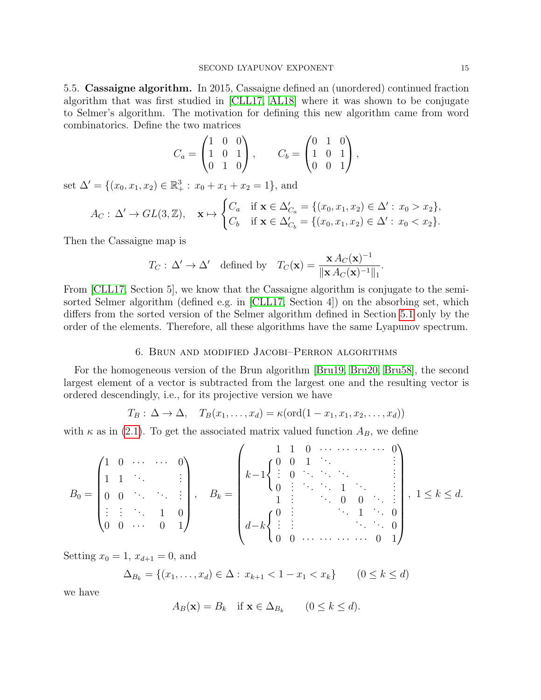5.5. Cassaigne algorithm. In 2015, Cassaigne defined an (unordered) continued fraction algorithm that was first studied in [\[CLL17,](#page-22-0) [AL18\]](#page-21-0) where it was shown to be conjugate to Selmer's algorithm. The motivation for defining this new algorithm came from word combinatorics. Define the two matrices

$$
C_a = \begin{pmatrix} 1 & 0 & 0 \\ 1 & 0 & 1 \\ 0 & 1 & 0 \end{pmatrix}, \qquad C_b = \begin{pmatrix} 0 & 1 & 0 \\ 1 & 0 & 1 \\ 0 & 0 & 1 \end{pmatrix},
$$

set  $\Delta' = \{(x_0, x_1, x_2) \in \mathbb{R}_+^3 : x_0 + x_1 + x_2 = 1\}$ , and

$$
A_C: \Delta' \to GL(3, \mathbb{Z}), \quad \mathbf{x} \mapsto \begin{cases} C_a & \text{if } \mathbf{x} \in \Delta'_{C_a} = \{ (x_0, x_1, x_2) \in \Delta' : x_0 > x_2 \}, \\ C_b & \text{if } \mathbf{x} \in \Delta'_{C_b} = \{ (x_0, x_1, x_2) \in \Delta' : x_0 < x_2 \}. \end{cases}
$$

Then the Cassaigne map is

$$
T_C: \Delta' \to \Delta'
$$
 defined by  $T_C(\mathbf{x}) = \frac{\mathbf{x} A_C(\mathbf{x})^{-1}}{\|\mathbf{x} A_C(\mathbf{x})^{-1}\|_1}.$ 

From [\[CLL17,](#page-22-0) Section 5], we know that the Cassaigne algorithm is conjugate to the semisorted Selmer algorithm (defined e.g. in [\[CLL17,](#page-22-0) Section 4]) on the absorbing set, which differs from the sorted version of the Selmer algorithm defined in Section [5.1](#page-8-4) only by the order of the elements. Therefore, all these algorithms have the same Lyapunov spectrum.

#### 6. Brun and modified Jacobi–Perron algorithms

<span id="page-14-0"></span>For the homogeneous version of the Brun algorithm [\[Bru19,](#page-22-17) [Bru20,](#page-22-18) [Bru58\]](#page-22-19), the second largest element of a vector is subtracted from the largest one and the resulting vector is ordered descendingly, i.e., for its projective version we have

$$
T_B: \Delta \to \Delta, \quad T_B(x_1, \ldots, x_d) = \kappa(\text{ord}(1 - x_1, x_1, x_2, \ldots, x_d))
$$

with  $\kappa$  as in [\(2.1\)](#page-2-2). To get the associated matrix valued function  $A_B$ , we define

$$
B_0 = \begin{pmatrix} 1 & 0 & \cdots & \cdots & 0 \\ 1 & 1 & \ddots & & \vdots \\ 0 & 0 & \ddots & \ddots & \vdots \\ \vdots & \vdots & \ddots & 1 & 0 \\ 0 & 0 & \cdots & 0 & 1 \end{pmatrix}, \quad B_k = \begin{pmatrix} 1 & 1 & 0 & \cdots & \cdots & \cdots & 0 \\ k-1 \begin{cases} 0 & 0 & 1 & \ddots & & \vdots \\ \vdots & 0 & \ddots & \ddots & \ddots & \vdots \\ 0 & \vdots & \ddots & 1 & \ddots & \vdots \\ 1 & \vdots & \ddots & 0 & 0 & \ddots & \vdots \\ d-k \begin{cases} 0 & \vdots & \ddots & \ddots & 1 \\ \vdots & \vdots & \ddots & \ddots & 0 \\ 0 & 0 & \cdots & \cdots & \cdots & 0 & 1 \end{cases}, 1 \le k \le d.
$$

Setting  $x_0 = 1$ ,  $x_{d+1} = 0$ , and

$$
\Delta_{B_k} = \{(x_1, \dots, x_d) \in \Delta : x_{k+1} < 1 - x_1 < x_k\} \qquad (0 \le k \le d)
$$

we have

$$
A_B(\mathbf{x}) = B_k \quad \text{if } \mathbf{x} \in \Delta_{B_k} \qquad (0 \le k \le d).
$$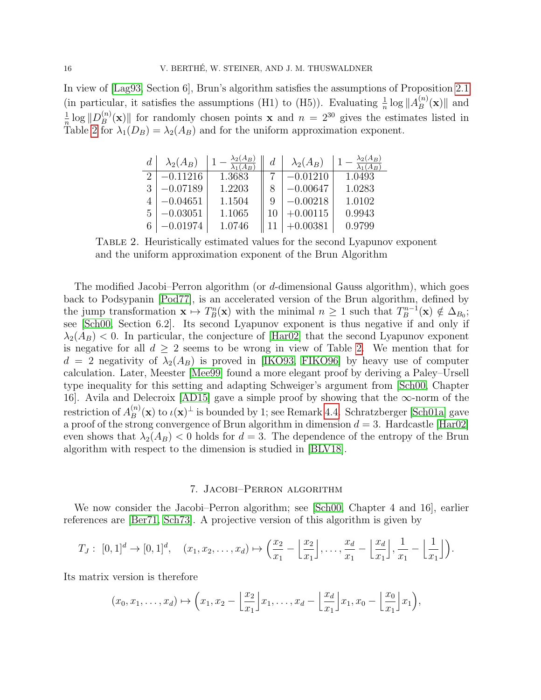In view of [\[Lag93,](#page-23-5) Section 6], Brun's algorithm satisfies the assumptions of Proposition [2.1](#page-4-1) (in particular, it satisfies the assumptions (H1) to (H5)). Evaluating  $\frac{1}{n} \log ||A_B^{(n)}||$  $\binom{n}{B}(\mathbf{x})$  and 1  $\frac{1}{n} \log \| D_B^{(n)} \|$  $\mathbb{E}_{B}^{(n)}(\mathbf{x})$  for randomly chosen points **x** and  $n = 2^{30}$  gives the estimates listed in Table [2](#page-15-1) for  $\lambda_1(D_B) = \lambda_2(A_B)$  and for the uniform approximation exponent.

| $\overline{d}$ | $\lambda_2(A_B)$ | $\lambda_1(A_B)$ | d | $\lambda_2(A_B)$ | $\lambda_2(A_B)$<br>$\lambda_1(A_B)$ |
|----------------|------------------|------------------|---|------------------|--------------------------------------|
| റ              | $-0.11216$       | 1.3683           |   | $-0.01210$       | 1.0493                               |
| 3              | $-0.07189$       | 1.2203           |   | $-0.00647$       | 1.0283                               |
|                | $-0.04651$       | 1.1504           | 9 | $-0.00218$       | 1.0102                               |
| 5              | $-0.03051$       | 1.1065           |   | $+0.00115$       | 0.9943                               |
| 6              | $-0.01974$       | 1.0746           |   | $-0.00381$       | 0.9799                               |

<span id="page-15-1"></span>Table 2. Heuristically estimated values for the second Lyapunov exponent and the uniform approximation exponent of the Brun Algorithm

The modified Jacobi–Perron algorithm (or d-dimensional Gauss algorithm), which goes back to Podsypanin [\[Pod77\]](#page-23-9), is an accelerated version of the Brun algorithm, defined by the jump transformation  $\mathbf{x} \mapsto T_B^n(\mathbf{x})$  with the minimal  $n \geq 1$  such that  $T_B^{n-1}$  $\mathcal{L}_B^{m-1}(\mathbf{x}) \notin \Delta_{B_0};$ see [\[Sch00,](#page-23-6) Section 6.2]. Its second Lyapunov exponent is thus negative if and only if  $\lambda_2(A_B)$  < 0. In particular, the conjecture of [\[Har02\]](#page-22-8) that the second Lyapunov exponent is negative for all  $d \geq 2$  seems to be wrong in view of Table [2.](#page-15-1) We mention that for  $d = 2$  negativity of  $\lambda_2(A_B)$  is proved in [\[IKO93,](#page-22-12) [FIKO96\]](#page-22-11) by heavy use of computer calculation. Later, Meester [\[Mee99\]](#page-23-10) found a more elegant proof by deriving a Paley–Ursell type inequality for this setting and adapting Schweiger's argument from [\[Sch00,](#page-23-6) Chapter 16]. Avila and Delecroix [\[AD15\]](#page-21-1) gave a simple proof by showing that the ∞-norm of the restriction of  $A_B^{(n)}$  $B_B^{(n)}(\mathbf{x})$  to  $\iota(\mathbf{x})^{\perp}$  is bounded by 1; see Remark [4.4.](#page-8-2) Schratzberger [\[Sch01a\]](#page-23-11) gave a proof of the strong convergence of Brun algorithm in dimension  $d = 3$ . Hardcastle [\[Har02\]](#page-22-8) even shows that  $\lambda_2(A_B)$  < 0 holds for  $d=3$ . The dependence of the entropy of the Brun algorithm with respect to the dimension is studied in [\[BLV18\]](#page-22-20).

## 7. Jacobi–Perron algorithm

<span id="page-15-0"></span>We now consider the Jacobi–Perron algorithm; see [\[Sch00,](#page-23-6) Chapter 4 and 16], earlier references are [\[Ber71,](#page-22-21) [Sch73\]](#page-23-12). A projective version of this algorithm is given by

$$
T_J: [0,1]^d \to [0,1]^d, \quad (x_1, x_2, \ldots, x_d) \mapsto \left(\frac{x_2}{x_1} - \left\lfloor \frac{x_2}{x_1} \right\rfloor, \ldots, \frac{x_d}{x_1} - \left\lfloor \frac{x_d}{x_1} \right\rfloor, \frac{1}{x_1} - \left\lfloor \frac{1}{x_1} \right\rfloor \right).
$$

Its matrix version is therefore

$$
(x_0,x_1,\ldots,x_d)\mapsto \left(x_1,x_2-\left\lfloor\frac{x_2}{x_1}\right\rfloor x_1,\ldots,x_d-\left\lfloor\frac{x_d}{x_1}\right\rfloor x_1,x_0-\left\lfloor\frac{x_0}{x_1}\right\rfloor x_1\right),
$$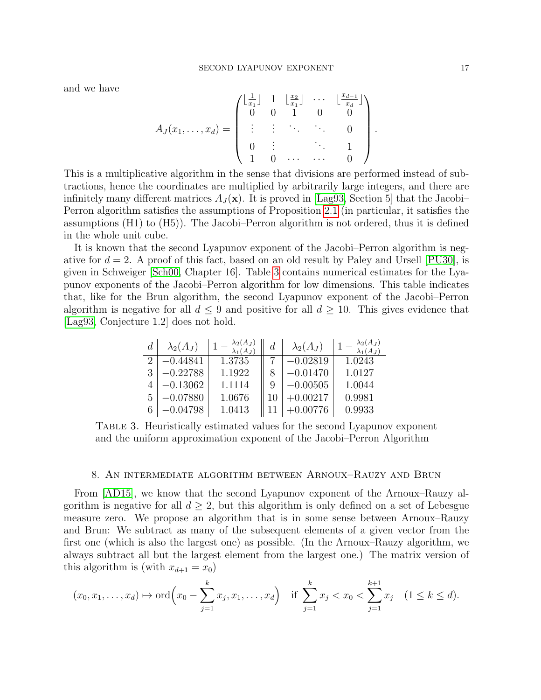and we have

$$
A_J(x_1, ..., x_d) = \begin{pmatrix} \lfloor \frac{1}{x_1} \rfloor & 1 & \lfloor \frac{x_2}{x_1} \rfloor & \cdots & \lfloor \frac{x_{d-1}}{x_d} \rfloor \\ 0 & 0 & 1 & 0 & 0 \\ \vdots & \vdots & \ddots & \ddots & 0 \\ 0 & \vdots & & \ddots & 1 \\ 1 & 0 & \cdots & \cdots & 0 \end{pmatrix}
$$

This is a multiplicative algorithm in the sense that divisions are performed instead of subtractions, hence the coordinates are multiplied by arbitrarily large integers, and there are infinitely many different matrices  $A_J(\mathbf{x})$ . It is proved in [\[Lag93,](#page-23-5) Section 5] that the Jacobi– Perron algorithm satisfies the assumptions of Proposition [2.1](#page-4-1) (in particular, it satisfies the assumptions (H1) to (H5)). The Jacobi–Perron algorithm is not ordered, thus it is defined in the whole unit cube.

It is known that the second Lyapunov exponent of the Jacobi–Perron algorithm is negative for  $d = 2$ . A proof of this fact, based on an old result by Paley and Ursell [\[PU30\]](#page-23-7), is given in Schweiger [\[Sch00,](#page-23-6) Chapter 16]. Table [3](#page-16-1) contains numerical estimates for the Lyapunov exponents of the Jacobi–Perron algorithm for low dimensions. This table indicates that, like for the Brun algorithm, the second Lyapunov exponent of the Jacobi–Perron algorithm is negative for all  $d \leq 9$  and positive for all  $d \geq 10$ . This gives evidence that [\[Lag93,](#page-23-5) Conjecture 1.2] does not hold.

| $\boldsymbol{d}$ | $\lambda_2(A_J)$ | $\lambda_2(A_J)$<br>$\overline{\lambda_1(A_J)}$ | d | $\lambda_2(A_J)$ | $\lambda_2(A_J)$ |
|------------------|------------------|-------------------------------------------------|---|------------------|------------------|
|                  | $-0.44841$       | 1.3735                                          |   | $-0.02819$       | 1.0243           |
| 3                | $-0.22788$       | 1.1922                                          |   | $-0.01470$       | 1.0127           |
|                  | $-0.13062$       | 1.1114                                          | 9 | $-0.00505$       | 1.0044           |
| 5                | $-0.07880$       | 1.0676                                          |   | $+0.00217$       | 0.9981           |
|                  | $-0.04798$       | 1.0413                                          |   | $+0.00776$       | 0.9933           |

<span id="page-16-1"></span>Table 3. Heuristically estimated values for the second Lyapunov exponent and the uniform approximation exponent of the Jacobi–Perron Algorithm

#### 8. An intermediate algorithm between Arnoux–Rauzy and Brun

<span id="page-16-0"></span>From [\[AD15\]](#page-21-1), we know that the second Lyapunov exponent of the Arnoux–Rauzy algorithm is negative for all  $d \geq 2$ , but this algorithm is only defined on a set of Lebesgue measure zero. We propose an algorithm that is in some sense between Arnoux–Rauzy and Brun: We subtract as many of the subsequent elements of a given vector from the first one (which is also the largest one) as possible. (In the Arnoux–Rauzy algorithm, we always subtract all but the largest element from the largest one.) The matrix version of this algorithm is (with  $x_{d+1} = x_0$ )

$$
(x_0, x_1,..., x_d) \mapsto \text{ord}\left(x_0 - \sum_{j=1}^k x_j, x_1,..., x_d\right)
$$
 if  $\sum_{j=1}^k x_j < x_0 < \sum_{j=1}^{k+1} x_j$   $(1 \le k \le d)$ .

.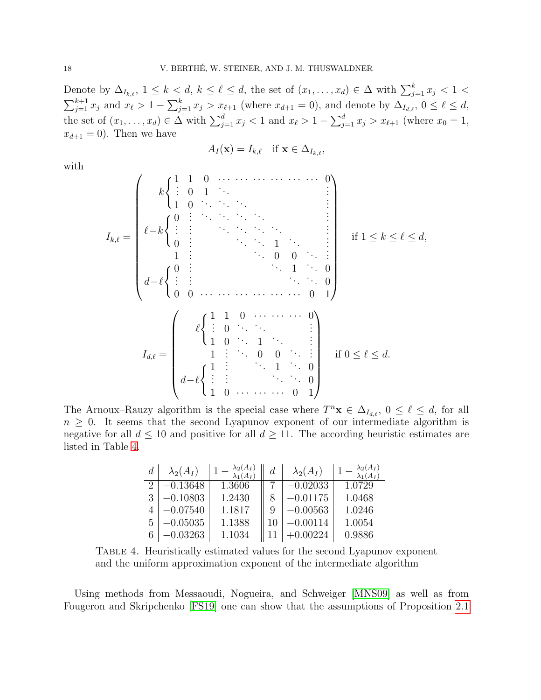Denote by  $\Delta_{I_{k,\ell}}, 1 \leq k < d, k \leq \ell \leq d$ , the set of  $(x_1, \ldots, x_d) \in \Delta$  with  $\sum_{j=1}^k x_j < 1 <$  $\sum_{j=1}^{k+1} x_j$  and  $x_\ell > 1 - \sum_{j=1}^k x_j > x_{\ell+1}$  (where  $x_{d+1} = 0$ ), and denote by  $\Delta_{I_{d,\ell}}, 0 \leq \ell \leq d$ , the set of  $(x_1, \ldots, x_d) \in \Delta$  with  $\sum_{j=1}^d x_j < 1$  and  $x_\ell > 1 - \sum_{j=1}^d x_j > x_{\ell+1}$  (where  $x_0 = 1$ ,  $x_{d+1} = 0$ ). Then we have

$$
A_I(\mathbf{x}) = I_{k,\ell} \quad \text{if } \mathbf{x} \in \Delta_{I_{k,\ell}},
$$

with

$$
I_{k,\ell} = \begin{pmatrix} k \begin{cases} 1 & 1 & 0 & \cdots & \cdots & \cdots & \cdots & 0 \\ 1 & 0 & 1 & \ddots & & & \vdots \\ 1 & 0 & \ddots & \ddots & \ddots & & \vdots \\ 0 & \vdots & \ddots & \ddots & \ddots & & \vdots \\ 0 & \vdots & & \ddots & \ddots & 1 & \ddots & 0 \\ 1 & \vdots & & & \ddots & 0 & 0 & \ddots & \vdots \\ 0 & 0 & \ddots & & & \ddots & 0 & 1 \\ 0 & 0 & \cdots & \cdots & \cdots & \cdots & 0 & 1 \end{pmatrix} & \text{if } 1 \le k \le \ell \le d, \\ I_{d,\ell} = \begin{pmatrix} \ell \begin{cases} 1 & 1 & 0 & \cdots & \cdots & \cdots & 0 \\ \vdots & \vdots & & & \ddots & \ddots & 0 \\ 1 & 0 & \ddots & 1 & \ddots & \vdots \\ 1 & 0 & \cdots & 1 & \ddots & \vdots \\ 1 & \vdots & & \ddots & \ddots & 0 \\ d-\ell \begin{cases} 1 & \vdots & \ddots & 1 & \ddots & 0 \\ \vdots & \vdots & & & \ddots & \ddots & 0 \\ 1 & 0 & \cdots & \cdots & \cdots & 0 & 1 \end{cases} & \text{if } 0 \le \ell \le d. \end{pmatrix}
$$

The Arnoux–Rauzy algorithm is the special case where  $T^n \mathbf{x} \in \Delta_{I_{d,\ell}}, 0 \leq \ell \leq d$ , for all  $n \geq 0$ . It seems that the second Lyapunov exponent of our intermediate algorithm is negative for all  $d \leq 10$  and positive for all  $d \geq 11$ . The according heuristic estimates are listed in Table [4.](#page-17-0)

| $\overline{d}$ | $\lambda_2(A_I)$ | $\lambda_2(A_I)$<br>$(A_I)$ | $\boldsymbol{d}$ | $\lambda_2(A_I)$ | $\lambda_2(A_I)$ |
|----------------|------------------|-----------------------------|------------------|------------------|------------------|
|                | $-0.13648$       | 1.3606                      |                  | $-0.02033$       | 1.0729           |
| 3              | $-0.10803$       | 1.2430                      |                  | $-0.01175$       | 1.0468           |
|                | $-0.07540$       | 1.1817                      | 9                | $-0.00563$       | 1.0246           |
| 5              | $-0.05035$       | 1.1388                      |                  | -0.00114         | 1.0054           |
|                | $-0.03263$       | 1.1034                      |                  | )224             | 0.9886           |

<span id="page-17-0"></span>Table 4. Heuristically estimated values for the second Lyapunov exponent and the uniform approximation exponent of the intermediate algorithm

Using methods from Messaoudi, Nogueira, and Schweiger [\[MNS09\]](#page-23-13) as well as from Fougeron and Skripchenko [\[FS19\]](#page-22-3) one can show that the assumptions of Proposition [2.1](#page-4-1)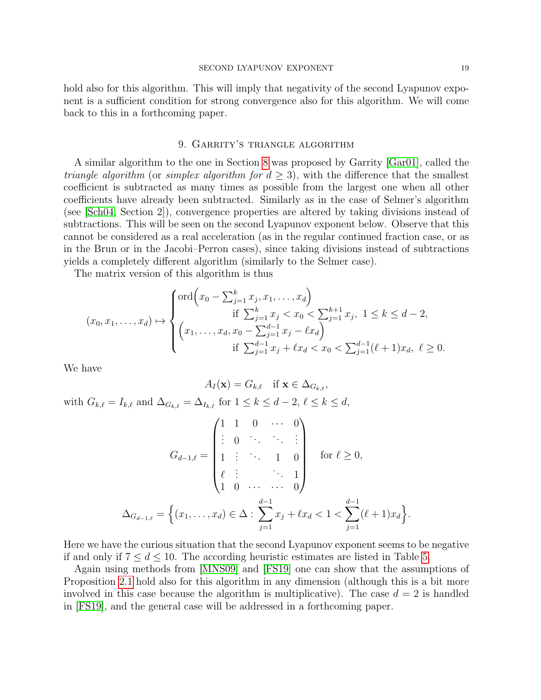hold also for this algorithm. This will imply that negativity of the second Lyapunov exponent is a sufficient condition for strong convergence also for this algorithm. We will come back to this in a forthcoming paper.

#### 9. Garrity's triangle algorithm

<span id="page-18-0"></span>A similar algorithm to the one in Section [8](#page-16-0) was proposed by Garrity [\[Gar01\]](#page-22-22), called the *triangle algorithm* (or *simplex algorithm for*  $d \geq 3$ *)*, with the difference that the smallest coefficient is subtracted as many times as possible from the largest one when all other coefficients have already been subtracted. Similarly as in the case of Selmer's algorithm (see [\[Sch04,](#page-23-2) Section 2]), convergence properties are altered by taking divisions instead of subtractions. This will be seen on the second Lyapunov exponent below. Observe that this cannot be considered as a real acceleration (as in the regular continued fraction case, or as in the Brun or in the Jacobi–Perron cases), since taking divisions instead of subtractions yields a completely different algorithm (similarly to the Selmer case).

The matrix version of this algorithm is thus

$$
(x_0, x_1, \dots, x_d) \mapsto \begin{cases} \text{ord}\Big(x_0 - \sum_{j=1}^k x_j, x_1, \dots, x_d\Big) \\ \text{if } \sum_{j=1}^k x_j < x_0 < \sum_{j=1}^{k+1} x_j, \ 1 \le k \le d-2, \\ \Big(x_1, \dots, x_d, x_0 - \sum_{j=1}^{d-1} x_j - \ell x_d\Big) \\ \text{if } \sum_{j=1}^{d-1} x_j + \ell x_d < x_0 < \sum_{j=1}^{d-1} (\ell+1) x_d, \ \ell \ge 0. \end{cases}
$$

We have

$$
A_I(\mathbf{x}) = G_{k,\ell} \quad \text{if } \mathbf{x} \in \Delta_{G_{k,\ell}},
$$

with  $G_{k,\ell} = I_{k,\ell}$  and  $\Delta_{G_{k,\ell}} = \Delta_{I_{k,\ell}}$  for  $1 \leq k \leq d - 2, \ell \leq k \leq d$ ,

$$
G_{d-1,\ell} = \begin{pmatrix} 1 & 1 & 0 & \cdots & 0 \\ \vdots & 0 & \ddots & \ddots & \vdots \\ 1 & \vdots & \ddots & 1 & 0 \\ \ell & \vdots & & \ddots & 1 \\ 1 & 0 & \cdots & \cdots & 0 \end{pmatrix} \quad \text{for } \ell \ge 0,
$$
  

$$
\Delta_{G_{d-1,\ell}} = \left\{ (x_1, \ldots, x_d) \in \Delta : \sum_{j=1}^{d-1} x_j + \ell x_d < 1 < \sum_{j=1}^{d-1} (\ell+1) x_d \right\}
$$

Here we have the curious situation that the second Lyapunov exponent seems to be negative if and only if  $7 \leq d \leq 10$ . The according heuristic estimates are listed in Table [5.](#page-19-1)

Again using methods from [\[MNS09\]](#page-23-13) and [\[FS19\]](#page-22-3) one can show that the assumptions of Proposition [2.1](#page-4-1) hold also for this algorithm in any dimension (although this is a bit more involved in this case because the algorithm is multiplicative). The case  $d = 2$  is handled in [\[FS19\]](#page-22-3), and the general case will be addressed in a forthcoming paper.

.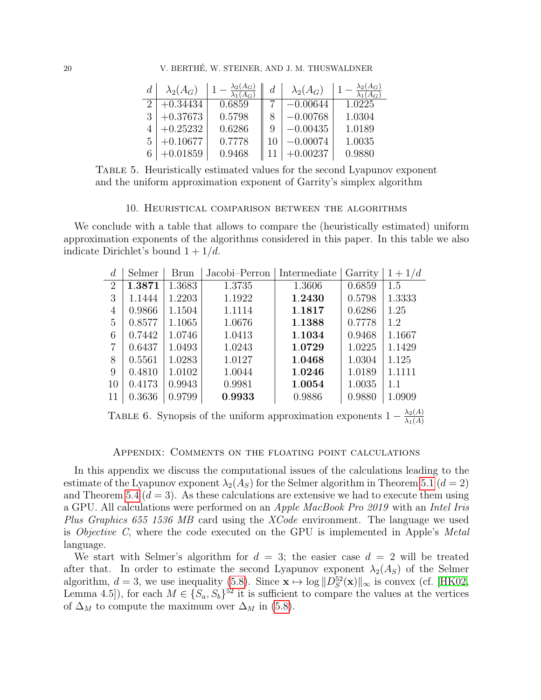| $\boldsymbol{d}$ | $\lambda_2(A_G)$ | $\lambda_1(A_G)$ | $\overline{d}$ | $\lambda_2(A_G)$ | $\lambda_2(A_G)$ |
|------------------|------------------|------------------|----------------|------------------|------------------|
|                  | $+0.34434$       | 0.6859           |                | $-0.00644$       | 1.0225           |
| 3                | $+0.37673$       | 0.5798           |                | $-0.00768$       | 1.0304           |
|                  | $+0.25232$       | 0.6286           | 9              | $-0.00435$       | 1.0189           |
| 5                | $+0.10677$       | 0.7778           |                | $-0.00074$       | 1.0035           |
|                  | $+0.01859$       | 0.9468           |                | $+0.00237$       | 0.9880           |

Table 5. Heuristically estimated values for the second Lyapunov exponent and the uniform approximation exponent of Garrity's simplex algorithm

#### <span id="page-19-1"></span>10. Heuristical comparison between the algorithms

<span id="page-19-0"></span>We conclude with a table that allows to compare the (heuristically estimated) uniform approximation exponents of the algorithms considered in this paper. In this table we also indicate Dirichlet's bound  $1 + 1/d$ .

| d              | Selmer | <b>Brun</b> | Jacobi-Perron | Intermediate | Garrity | $1 + 1/d$ |
|----------------|--------|-------------|---------------|--------------|---------|-----------|
| $\overline{2}$ | 1.3871 | 1.3683      | 1.3735        | 1.3606       | 0.6859  | 1.5       |
| 3              | 1.1444 | 1.2203      | 1.1922        | 1.2430       | 0.5798  | 1.3333    |
| 4              | 0.9866 | 1.1504      | 1.1114        | 1.1817       | 0.6286  | 1.25      |
| 5              | 0.8577 | 1.1065      | 1.0676        | 1.1388       | 0.7778  | 1.2       |
| 6              | 0.7442 | 1.0746      | 1.0413        | 1.1034       | 0.9468  | 1.1667    |
| 7              | 0.6437 | 1.0493      | 1.0243        | 1.0729       | 1.0225  | 1.1429    |
| 8              | 0.5561 | 1.0283      | 1.0127        | 1.0468       | 1.0304  | 1.125     |
| 9              | 0.4810 | 1.0102      | 1.0044        | 1.0246       | 1.0189  | 1.1111    |
| 10             | 0.4173 | 0.9943      | 0.9981        | 1.0054       | 1.0035  | 1.1       |
| 11             | 0.3636 | 0.9799      | 0.9933        | 0.9886       | 0.9880  | 1.0909    |

TABLE 6. Synopsis of the uniform approximation exponents  $1 - \frac{\lambda_2(A)}{\lambda_1(A)}$  $\lambda_1(A)$ 

## Appendix: Comments on the floating point calculations

In this appendix we discuss the computational issues of the calculations leading to the estimate of the Lyapunov exponent  $\lambda_2(A_S)$  for the Selmer algorithm in Theorem [5.1](#page-9-1) ( $d=2$ ) and Theorem [5.4](#page-12-0)  $(d = 3)$ . As these calculations are extensive we had to execute them using a GPU. All calculations were performed on an Apple MacBook Pro 2019 with an Intel Iris Plus Graphics 655 1536 MB card using the XCode environment. The language we used is Objective C, where the code executed on the GPU is implemented in Apple's Metal language.

We start with Selmer's algorithm for  $d = 3$ ; the easier case  $d = 2$  will be treated after that. In order to estimate the second Lyapunov exponent  $\lambda_2(A_S)$  of the Selmer algorithm,  $d = 3$ , we use inequality [\(5.8\)](#page-13-1). Since  $\mathbf{x} \mapsto \log ||D_S^{52}(\mathbf{x})||_{\infty}$  is convex (cf. [\[HK02,](#page-22-9) Lemma 4.5]), for each  $M \in \{S_a, S_b\}^{52}$  it is sufficient to compare the values at the vertices of  $\Delta_M$  to compute the maximum over  $\Delta_M$  in [\(5.8\)](#page-13-1).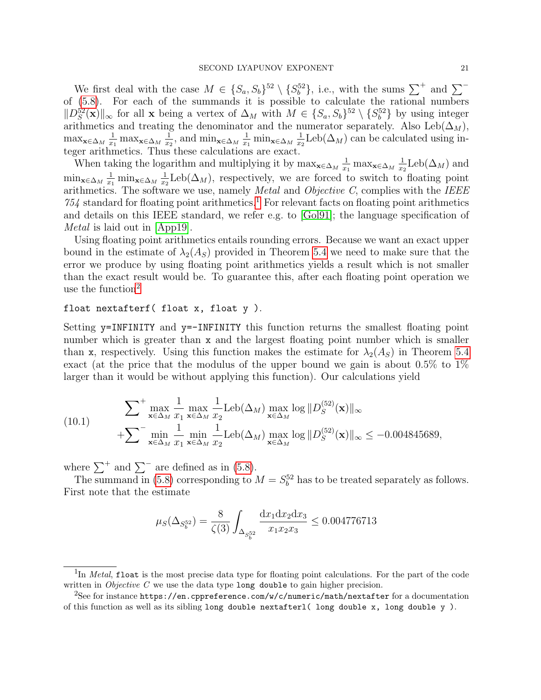We first deal with the case  $M \in \{S_a, S_b\}^{52} \setminus \{S_b^{52}\},$  i.e., with the sums  $\sum^+$  and  $\sum^$ of [\(5.8\)](#page-13-1). For each of the summands it is possible to calculate the rational numbers  $||D_{S}^{52}(\mathbf{x})||_{\infty}$  for all x being a vertex of  $\Delta_M$  with  $M \in \{S_a, S_b\}^{52} \setminus \{S_b^{52}\}\$  by using integer  $||D_S(\mathbf{X})||_{\infty}$  for an  $\mathbf{X}$  being a vertex of  $\Delta_M$  with  $M \in \{D_a, D_b\}$   $\setminus \{D_b\}$  by using integer arithmetics and treating the denominator and the numerator separately. Also Leb( $\Delta_M$ ),  $\max_{\mathbf{x} \in \Delta_M} \frac{1}{x_1}$  $\frac{1}{x_1}$  max<sub>x∈∆*M*</sub>  $\frac{1}{x_2}$  $\frac{1}{x_2}$ , and min<sub>x∈∆*M*</sub>  $\frac{1}{x_1}$  $\frac{1}{x_1}$  min<sub>x∈∆*M*</sub>  $\frac{1}{x_2}$  $\frac{1}{x_2}$ Leb( $\Delta_M$ ) can be calculated using integer arithmetics. Thus these calculations are exact.

When taking the logarithm and multiplying it by  $\max_{\mathbf{x} \in \Delta_M} \frac{1}{x}$  $\frac{1}{x_1}$  max<sub>x∈∆*M*</sub>  $\frac{1}{x_2}$  $\frac{1}{x_2}$ Leb $(\Delta_M)$  and  $\min_{\mathbf{x}\in\Delta_M} \frac{1}{x_1}$  $\frac{1}{x_1}$  min<sub>x∈∆*M*</sub>  $\frac{1}{x_2}$  $\frac{1}{x_2}$ Leb( $\Delta_M$ ), respectively, we are forced to switch to floating point arithmetics. The software we use, namely *Metal* and *Objective C*, complies with the *IEEE*  $754$  standard for floating point arithmetics.<sup>[1](#page-20-0)</sup> For relevant facts on floating point arithmetics and details on this IEEE standard, we refer e.g. to [\[Gol91\]](#page-22-23); the language specification of Metal is laid out in [\[App19\]](#page-21-4).

Using floating point arithmetics entails rounding errors. Because we want an exact upper bound in the estimate of  $\lambda_2(A_S)$  provided in Theorem [5.4](#page-12-0) we need to make sure that the error we produce by using floating point arithmetics yields a result which is not smaller than the exact result would be. To guarantee this, after each floating point operation we use the function $2$ 

## float nextafterf( float x, float y ).

Setting y=INFINITY and y=-INFINITY this function returns the smallest floating point number which is greater than x and the largest floating point number which is smaller than x, respectively. Using this function makes the estimate for  $\lambda_2(A_S)$  in Theorem [5.4](#page-12-0) exact (at the price that the modulus of the upper bound we gain is about 0.5% to 1% larger than it would be without applying this function). Our calculations yield

<span id="page-20-2"></span>(10.1) 
$$
\sum_{\mathbf{x} \in \Delta_M} \max_{x_1} \frac{1}{x_1} \max_{\mathbf{x} \in \Delta_M} \frac{1}{x_2} \text{Leb}(\Delta_M) \max_{\mathbf{x} \in \Delta_M} \log \|D_S^{(52)}(\mathbf{x})\|_{\infty} + \sum_{\mathbf{x} \in \Delta_M} \min_{x_1} \frac{1}{x_1} \min_{\mathbf{x} \in \Delta_M} \frac{1}{x_2} \text{Leb}(\Delta_M) \max_{\mathbf{x} \in \Delta_M} \log \|D_S^{(52)}(\mathbf{x})\|_{\infty} \leq -0.004845689,
$$

where  $\sum^+$  and  $\sum^-$  are defined as in [\(5.8\)](#page-13-1).

The summand in [\(5.8\)](#page-13-1) corresponding to  $M = S_b^{52}$  has to be treated separately as follows. First note that the estimate

$$
\mu_S(\Delta_{S_b^{52}}) = \frac{8}{\zeta(3)} \int_{\Delta_{S_b^{52}}} \frac{\mathrm{d}x_1 \mathrm{d}x_2 \mathrm{d}x_3}{x_1 x_2 x_3} \le 0.004776713
$$

<span id="page-20-0"></span><sup>&</sup>lt;sup>1</sup>In Metal, float is the most precise data type for floating point calculations. For the part of the code written in *Objective C* we use the data type long double to gain higher precision.

<span id="page-20-1"></span><sup>&</sup>lt;sup>2</sup>See for instance https://en.cppreference.com/w/c/numeric/math/nextafter for a documentation of this function as well as its sibling long double nextafterl( long double x, long double y ).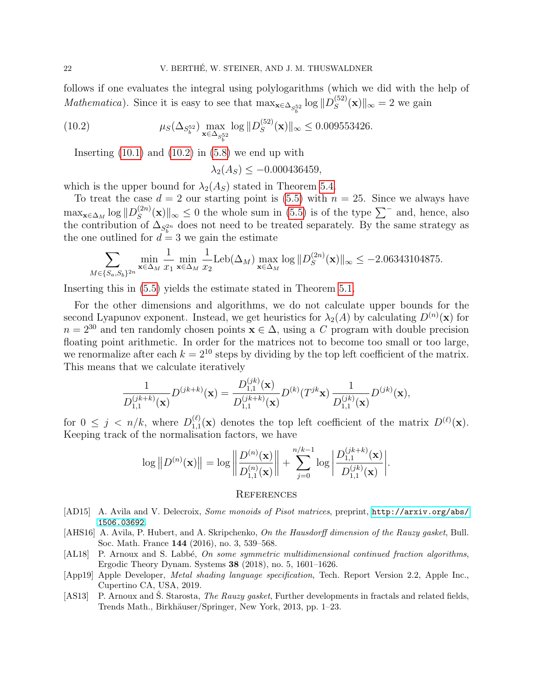follows if one evaluates the integral using polylogarithms (which we did with the help of Mathematica). Since it is easy to see that  $\max_{\mathbf{x} \in \Delta_{S_b^{52}}} \log ||D_S^{(52)}||$  $S^{(52)}(x)$ ||<sub>∞</sub> = 2 we gain

(10.2) 
$$
\mu_S(\Delta_{S_b^{52}}) \max_{\mathbf{x} \in \Delta_{S_b^{52}}} \log \| D_S^{(52)}(\mathbf{x}) \|_{\infty} \le 0.009553426.
$$

Inserting  $(10.1)$  and  $(10.2)$  in  $(5.8)$  we end up with

<span id="page-21-5"></span>
$$
\lambda_2(A_S) \le -0.000436459,
$$

which is the upper bound for  $\lambda_2(A_S)$  stated in Theorem [5.4.](#page-12-0)

To treat the case  $d = 2$  our starting point is [\(5.5\)](#page-10-2) with  $n = 25$ . Since we always have  $\max_{\mathbf{x}\in\Delta_{M}}\log\|D_{S}^{(2n)}\|$  $\mathcal{L}_{S}^{(2n)}(\mathbf{x})\|_{\infty}$  ≤ 0 the whole sum in [\(5.5\)](#page-10-2) is of the type  $\sum$ <sup>−</sup> and, hence, also the contribution of  $\Delta_{S_b^{2n}}$  does not need to be treated separately. By the same strategy as the one outlined for  $d = 3$  we gain the estimate

$$
\sum_{M \in \{S_a, S_b\}^{2n}} \min_{\mathbf{x} \in \Delta_M} \frac{1}{x_1} \min_{\mathbf{x} \in \Delta_M} \frac{1}{x_2} \text{Leb}(\Delta_M) \max_{\mathbf{x} \in \Delta_M} \log \|D_S^{(2n)}(\mathbf{x})\|_{\infty} \le -2.06343104875.
$$

Inserting this in [\(5.5\)](#page-10-2) yields the estimate stated in Theorem [5.1.](#page-9-1)

For the other dimensions and algorithms, we do not calculate upper bounds for the second Lyapunov exponent. Instead, we get heuristics for  $\lambda_2(A)$  by calculating  $D^{(n)}(\mathbf{x})$  for  $n = 2^{30}$  and ten randomly chosen points  $\mathbf{x} \in \Delta$ , using a C program with double precision floating point arithmetic. In order for the matrices not to become too small or too large, we renormalize after each  $k = 2^{10}$  steps by dividing by the top left coefficient of the matrix. This means that we calculate iteratively

$$
\frac{1}{D_{1,1}^{(jk+k)}(\mathbf{x})}D^{(jk+k)}(\mathbf{x}) = \frac{D_{1,1}^{(jk)}(\mathbf{x})}{D_{1,1}^{(jk+k)}(\mathbf{x})}D^{(k)}(T^{jk}\mathbf{x})\frac{1}{D_{1,1}^{(jk)}(\mathbf{x})}D^{(jk)}(\mathbf{x}),
$$

for  $0 \leq j \leq n/k$ , where  $D_{1,1}^{(\ell)}$  $1,1(\mathbf{x})$  denotes the top left coefficient of the matrix  $D^{(\ell)}(\mathbf{x})$ . Keeping track of the normalisation factors, we have

$$
\log ||D^{(n)}(\mathbf{x})|| = \log \left\| \frac{D^{(n)}(\mathbf{x})}{D_{1,1}^{(n)}(\mathbf{x})} \right\| + \sum_{j=0}^{n/k-1} \log \left| \frac{D_{1,1}^{(jk+k)}(\mathbf{x})}{D_{1,1}^{(jk)}(\mathbf{x})} \right|.
$$

#### **REFERENCES**

- <span id="page-21-1"></span>[AD15] A. Avila and V. Delecroix, Some monoids of Pisot matrices, preprint, [http://arxiv.org/abs/](http://arxiv.org/abs/1506.03692) [1506.03692](http://arxiv.org/abs/1506.03692).
- <span id="page-21-3"></span>[AHS16] A. Avila, P. Hubert, and A. Skripchenko, On the Hausdorff dimension of the Rauzy gasket, Bull. Soc. Math. France 144 (2016), no. 3, 539–568.
- <span id="page-21-0"></span>[AL18] P. Arnoux and S. Labbé, On some symmetric multidimensional continued fraction algorithms, Ergodic Theory Dynam. Systems 38 (2018), no. 5, 1601–1626.
- <span id="page-21-4"></span>[App19] Apple Developer, Metal shading language specification, Tech. Report Version 2.2, Apple Inc., Cupertino CA, USA, 2019.
- <span id="page-21-2"></span>[AS13] P. Arnoux and S. Starosta, *The Rauzy gasket*, Further developments in fractals and related fields, Trends Math., Birkhäuser/Springer, New York, 2013, pp. 1-23.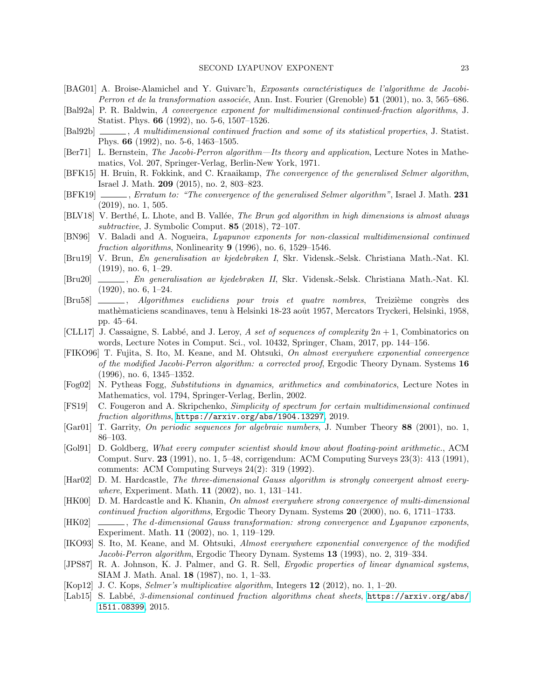- <span id="page-22-14"></span>[BAG01] A. Broise-Alamichel and Y. Guivarc'h, Exposants caractéristiques de l'algorithme de Jacobi-*Perron et de la transformation associée*, Ann. Inst. Fourier (Grenoble)  $51$  (2001), no. 3, 565–686.
- <span id="page-22-4"></span>[Bal92a] P. R. Baldwin, A convergence exponent for multidimensional continued-fraction algorithms, J. Statist. Phys. 66 (1992), no. 5-6, 1507–1526.
- <span id="page-22-5"></span>[Bal92b]  $\qquad \qquad$ , A multidimensional continued fraction and some of its statistical properties, J. Statist. Phys. 66 (1992), no. 5-6, 1463–1505.
- <span id="page-22-21"></span>[Ber71] L. Bernstein, The Jacobi-Perron algorithm—Its theory and application, Lecture Notes in Mathematics, Vol. 207, Springer-Verlag, Berlin-New York, 1971.
- <span id="page-22-1"></span>[BFK15] H. Bruin, R. Fokkink, and C. Kraaikamp, The convergence of the generalised Selmer algorithm, Israel J. Math. 209 (2015), no. 2, 803–823.
- <span id="page-22-2"></span>[BFK19] , Erratum to: "The convergence of the generalised Selmer algorithm", Israel J. Math. 231 (2019), no. 1, 505.
- <span id="page-22-20"></span>[BLV18] V. Berthé, L. Lhote, and B. Vallée, *The Brun gcd algorithm in high dimensions is almost always* subtractive, J. Symbolic Comput. 85 (2018), 72–107.
- <span id="page-22-7"></span>[BN96] V. Baladi and A. Nogueira, Lyapunov exponents for non-classical multidimensional continued fraction algorithms, Nonlinearity  $9$  (1996), no. 6, 1529–1546.
- <span id="page-22-17"></span>[Bru19] V. Brun, En generalisation av kjedebrøken I, Skr. Vidensk.-Selsk. Christiana Math.-Nat. Kl. (1919), no. 6, 1–29.
- <span id="page-22-18"></span>[Bru20] , En generalisation av kjedebrøken II, Skr. Vidensk.-Selsk. Christiana Math.-Nat. Kl. (1920), no. 6, 1–24.
- <span id="page-22-19"></span>[Bru58]  $\qquad \qquad$ , Algorithmes euclidiens pour trois et quatre nombres, Treizième congrès des mathèmaticiens scandinaves, tenu à Helsinki 18-23 août 1957, Mercators Tryckeri, Helsinki, 1958, pp. 45–64.
- <span id="page-22-0"></span>[CLL17] J. Cassaigne, S. Labbé, and J. Leroy, A set of sequences of complexity  $2n + 1$ , Combinatorics on words, Lecture Notes in Comput. Sci., vol. 10432, Springer, Cham, 2017, pp. 144–156.
- <span id="page-22-11"></span>[FIKO96] T. Fujita, S. Ito, M. Keane, and M. Ohtsuki, On almost everywhere exponential convergence of the modified Jacobi-Perron algorithm: a corrected proof, Ergodic Theory Dynam. Systems 16 (1996), no. 6, 1345–1352.
- <span id="page-22-16"></span>[Fog02] N. Pytheas Fogg, Substitutions in dynamics, arithmetics and combinatorics, Lecture Notes in Mathematics, vol. 1794, Springer-Verlag, Berlin, 2002.
- <span id="page-22-3"></span>[FS19] C. Fougeron and A. Skripchenko, Simplicity of spectrum for certain multidimensional continued fraction algorithms, <https://arxiv.org/abs/1904.13297>, 2019.
- <span id="page-22-22"></span>[Gar01] T. Garrity, On periodic sequences for algebraic numbers, J. Number Theory 88 (2001), no. 1, 86–103.
- <span id="page-22-23"></span>[Gol91] D. Goldberg, What every computer scientist should know about floating-point arithmetic., ACM Comput. Surv. 23 (1991), no. 1, 5–48, corrigendum: ACM Computing Surveys 23(3): 413 (1991), comments: ACM Computing Surveys 24(2): 319 (1992).
- <span id="page-22-8"></span>[Har02] D. M. Hardcastle, The three-dimensional Gauss algorithm is strongly convergent almost everywhere, Experiment. Math. **11** (2002), no. 1, 131-141.
- <span id="page-22-10"></span>[HK00] D. M. Hardcastle and K. Khanin, On almost everywhere strong convergence of multi-dimensional continued fraction algorithms, Ergodic Theory Dynam. Systems 20 (2000), no. 6, 1711–1733.
- <span id="page-22-9"></span>[HK02]  $\Box$ , The d-dimensional Gauss transformation: strong convergence and Lyapunov exponents, Experiment. Math. 11 (2002), no. 1, 119–129.
- <span id="page-22-12"></span>[IKO93] S. Ito, M. Keane, and M. Ohtsuki, Almost everywhere exponential convergence of the modified Jacobi-Perron algorithm, Ergodic Theory Dynam. Systems 13 (1993), no. 2, 319–334.
- <span id="page-22-13"></span>[JPS87] R. A. Johnson, K. J. Palmer, and G. R. Sell, *Ergodic properties of linear dynamical systems*, SIAM J. Math. Anal. 18 (1987), no. 1, 1–33.
- <span id="page-22-15"></span>[Kop12] J. C. Kops, Selmer's multiplicative algorithm, Integers 12 (2012), no. 1, 1–20.
- <span id="page-22-6"></span>[Lab15] S. Labbé, 3-dimensional continued fraction algorithms cheat sheets, [https://arxiv.org/abs/](https://arxiv.org/abs/1511.08399) [1511.08399](https://arxiv.org/abs/1511.08399), 2015.